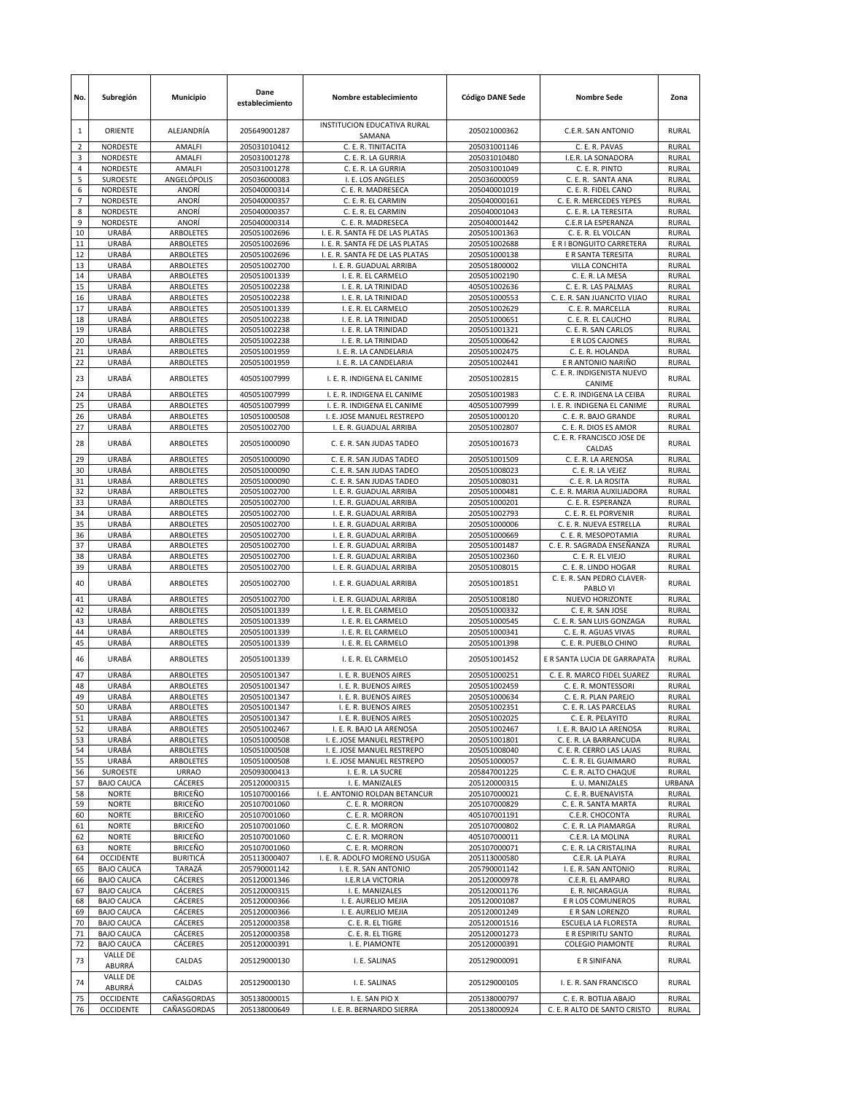| No.            | Subregión                              | Municipio                        | Dane<br>establecimiento      | Nombre establecimiento                                             | <b>Código DANE Sede</b>      | <b>Nombre Sede</b>                                  | Zona                         |
|----------------|----------------------------------------|----------------------------------|------------------------------|--------------------------------------------------------------------|------------------------------|-----------------------------------------------------|------------------------------|
| 1              | ORIENTE                                | ALEJANDRÍA                       | 205649001287                 | INSTITUCION EDUCATIVA RURAL<br>SAMANA                              | 205021000362                 | C.E.R. SAN ANTONIO                                  | <b>RURAL</b>                 |
| $\overline{2}$ | <b>NORDESTE</b>                        | AMALFI                           | 205031010412                 | C. E. R. TINITACITA                                                | 205031001146                 | C. E. R. PAVAS                                      | <b>RURAL</b>                 |
| 3<br>4         | NORDESTE<br>NORDESTE                   | AMALFI<br>AMALFI                 | 205031001278<br>205031001278 | C. E. R. LA GURRIA<br>C. E. R. LA GURRIA                           | 205031010480<br>205031001049 | I.E.R. LA SONADORA<br>C. E. R. PINTO                | <b>RURAL</b><br><b>RURAL</b> |
| 5              | <b>SUROESTE</b>                        | ANGELÓPOLIS                      | 205036000083                 | I. E. LOS ANGELES                                                  | 205036000059                 | C. E. R. SANTA ANA                                  | RURAL                        |
| 6              | NORDESTE                               | ANORÍ                            | 205040000314                 | C. E. R. MADRESECA                                                 | 205040001019                 | C. E. R. FIDEL CANO                                 | <b>RURAL</b>                 |
| $\overline{7}$ | NORDESTE                               | ANORÍ                            | 205040000357                 | C. E. R. EL CARMIN                                                 | 205040000161                 | C. E. R. MERCEDES YEPES                             | <b>RURAL</b>                 |
| 8              | NORDESTE                               | ANORÍ                            | 205040000357                 | C. E. R. EL CARMIN                                                 | 205040001043                 | C. E. R. LA TERESITA                                | <b>RURAL</b>                 |
| 9              | NORDESTE                               | ANORÍ                            | 205040000314                 | C. E. R. MADRESECA                                                 | 205040001442                 | C.E.R LA ESPERANZA                                  | <b>RURAL</b>                 |
| 10<br>11       | URABÁ<br>URABÁ                         | ARBOLETES<br><b>ARBOLETES</b>    | 205051002696                 | I. E. R. SANTA FE DE LAS PLATAS                                    | 205051001363                 | C. E. R. EL VOLCAN                                  | <b>RURAL</b><br><b>RURAL</b> |
| 12             | URABÁ                                  | ARBOLETES                        | 205051002696<br>205051002696 | I. E. R. SANTA FE DE LAS PLATAS<br>I. E. R. SANTA FE DE LAS PLATAS | 205051002688<br>205051000138 | E R I BONGUITO CARRETERA<br>E R SANTA TERESITA      | <b>RURAL</b>                 |
| 13             | URABÁ                                  | ARBOLETES                        | 205051002700                 | I. E. R. GUADUAL ARRIBA                                            | 205051800002                 | VILLA CONCHITA                                      | <b>RURAL</b>                 |
| 14             | URABÁ                                  | ARBOLETES                        | 205051001339                 | I. E. R. EL CARMELO                                                | 205051002190                 | C. E. R. LA MESA                                    | <b>RURAL</b>                 |
| 15             | URABÁ                                  | ARBOLETES                        | 205051002238                 | I. E. R. LA TRINIDAD                                               | 405051002636                 | C. E. R. LAS PALMAS                                 | <b>RURAL</b>                 |
| 16             | URABÁ                                  | ARBOLETES                        | 205051002238                 | I. E. R. LA TRINIDAD                                               | 205051000553                 | C. E. R. SAN JUANCITO VIJAO                         | <b>RURAL</b>                 |
| 17<br>18       | URABÁ<br>URABÁ                         | ARBOLETES                        | 205051001339                 | I. E. R. EL CARMELO                                                | 205051002629                 | C. E. R. MARCELLA                                   | <b>RURAL</b><br><b>RURAL</b> |
| 19             | URABÁ                                  | ARBOLETES<br>ARBOLETES           | 205051002238<br>205051002238 | I. E. R. LA TRINIDAD<br>I. E. R. LA TRINIDAD                       | 205051000651<br>205051001321 | C. E. R. EL CAUCHO<br>C. E. R. SAN CARLOS           | <b>RURAL</b>                 |
| 20             | URABÁ                                  | ARBOLETES                        | 205051002238                 | I. E. R. LA TRINIDAD                                               | 205051000642                 | E R LOS CAJONES                                     | <b>RURAL</b>                 |
| 21             | URABÁ                                  | <b>ARBOLETES</b>                 | 205051001959                 | I. E. R. LA CANDELARIA                                             | 205051002475                 | C. E. R. HOLANDA                                    | <b>RURAL</b>                 |
| 22             | URABÁ                                  | <b>ARBOLETES</b>                 | 205051001959                 | I. E. R. LA CANDELARIA                                             | 205051002441                 | E R ANTONIO NARIÑO                                  | <b>RURAL</b>                 |
| 23             | URABÁ                                  | <b>ARBOLETES</b>                 | 405051007999                 | I. E. R. INDIGENA EL CANIME                                        | 205051002815                 | C. E. R. INDIGENISTA NUEVO<br>CANIME                | <b>RURAL</b>                 |
| 24             | URABÁ                                  | ARBOLETES                        | 405051007999                 | I. E. R. INDIGENA EL CANIME                                        | 205051001983                 | C. E. R. INDIGENA LA CEIBA                          | <b>RURAL</b>                 |
| 25             | URABÁ                                  | <b>ARBOLETES</b>                 | 405051007999                 | I. E. R. INDIGENA EL CANIME                                        | 405051007999                 | I. E. R. INDIGENA EL CANIME                         | RURAL                        |
| 26             | URABÁ                                  | ARBOLETES                        | 105051000508                 | I. E. JOSE MANUEL RESTREPO                                         | 205051000120                 | C. E. R. BAJO GRANDE                                | <b>RURAL</b>                 |
| 27<br>28       | <b>URABÁ</b><br>URABÁ                  | ARBOLETES<br><b>ARBOLETES</b>    | 205051002700<br>205051000090 | I. E. R. GUADUAL ARRIBA<br>C. E. R. SAN JUDAS TADEO                | 205051002807<br>205051001673 | C. E. R. DIOS ES AMOR<br>C. E. R. FRANCISCO JOSE DE | RURAL<br><b>RURAL</b>        |
| 29             | URABÁ                                  | <b>ARBOLETES</b>                 | 205051000090                 | C. E. R. SAN JUDAS TADEO                                           | 205051001509                 | CALDAS<br>C. E. R. LA ARENOSA                       | <b>RURAL</b>                 |
| 30             | URABÁ                                  | ARBOLETES                        | 205051000090                 | C. E. R. SAN JUDAS TADEO                                           | 205051008023                 | C. E. R. LA VEJEZ                                   | <b>RURAL</b>                 |
| 31             | URABÁ                                  | ARBOLETES                        | 205051000090                 | C. E. R. SAN JUDAS TADEO                                           | 205051008031                 | C. E. R. LA ROSITA                                  | <b>RURAL</b>                 |
| 32             | URABÁ                                  | ARBOLETES                        | 205051002700                 | I. E. R. GUADUAL ARRIBA                                            | 205051000481                 | C. E. R. MARIA AUXILIADORA                          | <b>RURAL</b>                 |
| 33             | URABÁ                                  | ARBOLETES                        | 205051002700                 | I. E. R. GUADUAL ARRIBA                                            | 205051000201                 | C. E. R. ESPERANZA                                  | <b>RURAL</b>                 |
| 34<br>35       | URABÁ<br>URABÁ                         | ARBOLETES<br>ARBOLETES           | 205051002700<br>205051002700 | I. E. R. GUADUAL ARRIBA<br>I. E. R. GUADUAL ARRIBA                 | 205051002793<br>205051000006 | C. E. R. EL PORVENIR<br>C. E. R. NUEVA ESTRELLA     | <b>RURAL</b><br><b>RURAL</b> |
| 36             | URABÁ                                  | ARBOLETES                        | 205051002700                 | I. E. R. GUADUAL ARRIBA                                            | 205051000669                 | C. E. R. MESOPOTAMIA                                | RURAL                        |
| 37             | URABÁ                                  | ARBOLETES                        | 205051002700                 | I. E. R. GUADUAL ARRIBA                                            | 205051001487                 | C. E. R. SAGRADA ENSEÑANZA                          | <b>RURAL</b>                 |
| 38             | URABÁ                                  | <b>ARBOLETES</b>                 | 205051002700                 | I. E. R. GUADUAL ARRIBA                                            | 205051002360                 | C. E. R. EL VIEJO                                   | <b>RURAL</b>                 |
| 39             | URABÁ                                  | ARBOLETES                        | 205051002700                 | I. E. R. GUADUAL ARRIBA                                            | 205051008015                 | C. E. R. LINDO HOGAR<br>C. E. R. SAN PEDRO CLAVER-  | <b>RURAL</b>                 |
| 40             | URABÁ                                  | <b>ARBOLETES</b>                 | 205051002700                 | I. E. R. GUADUAL ARRIBA                                            | 205051001851                 | PABLO VI                                            | <b>RURAL</b>                 |
| 41<br>42       | URABÁ<br>URABÁ                         | ARBOLETES<br>ARBOLETES           | 205051002700<br>205051001339 | I. E. R. GUADUAL ARRIBA<br>I. E. R. EL CARMELO                     | 205051008180<br>205051000332 | NUEVO HORIZONTE<br>C. E. R. SAN JOSE                | <b>RURAL</b><br><b>RURAL</b> |
| 43             | URABÁ                                  | <b>ARBOLETES</b>                 | 205051001339                 | I. E. R. EL CARMELO                                                | 205051000545                 | C. E. R. SAN LUIS GONZAGA                           | <b>RURAL</b>                 |
| 44             | URABÁ                                  | ARBOLETES                        | 205051001339                 | I. E. R. EL CARMELO                                                | 205051000341                 | C. E. R. AGUAS VIVAS                                | RURAL                        |
| 45             | <b>URABÁ</b>                           | ARBOLETES                        | 205051001339                 | I. E. R. EL CARMELO                                                | 205051001398                 | C. E. R. PUEBLO CHINO                               | RURAL                        |
| 46             | URABÁ                                  | ARBOLETES                        | 205051001339                 | I. E. R. EL CARMELO                                                | 205051001452                 | E R SANTA LUCIA DE GARRAPATA                        | <b>RURAL</b>                 |
| 47             | URABÁ                                  | ARBOLETES                        | 205051001347                 | I. E. R. BUENOS AIRES                                              | 205051000251                 | C. E. R. MARCO FIDEL SUAREZ                         | <b>RURAL</b>                 |
| 48             | URABÁ                                  | ARBOLETES                        | 205051001347                 | I. E. R. BUENOS AIRES                                              | 205051002459                 | C. E. R. MONTESSORI                                 | <b>RURAL</b>                 |
| 49             | URABA                                  | ARBOLETES                        | 205051001347                 | I. E. R. BUENOS AIRES                                              | 205051000634                 | C. E. R. PLAN PAREJO                                | RURAL                        |
| 50<br>51       | URABÁ<br>URABÁ                         | ARBOLETES<br><b>ARBOLETES</b>    | 205051001347<br>205051001347 | I. E. R. BUENOS AIRES<br>I. E. R. BUENOS AIRES                     | 205051002351<br>205051002025 | C. E. R. LAS PARCELAS<br>C. E. R. PELAYITO          | <b>RURAL</b><br><b>RURAL</b> |
| 52             | URABÁ                                  | ARBOLETES                        | 205051002467                 | I. E. R. BAJO LA ARENOSA                                           | 205051002467                 | I. E. R. BAJO LA ARENOSA                            | <b>RURAL</b>                 |
| 53             | URABÁ                                  | <b>ARBOLETES</b>                 | 105051000508                 | I. E. JOSE MANUEL RESTREPO                                         | 205051001801                 | C. E. R. LA BARRANCUDA                              | <b>RURAL</b>                 |
| 54             | URABÁ                                  | <b>ARBOLETES</b>                 | 105051000508                 | I. E. JOSE MANUEL RESTREPO                                         | 205051008040                 | C. E. R. CERRO LAS LAJAS                            | <b>RURAL</b>                 |
| 55             | URABÁ                                  | <b>ARBOLETES</b>                 | 105051000508                 | I. E. JOSE MANUEL RESTREPO                                         | 205051000057                 | C. E. R. EL GUAIMARO                                | <b>RURAL</b>                 |
| 56<br>57       | <b>SUROESTE</b><br><b>BAJO CAUCA</b>   | <b>URRAO</b><br>CÁCERES          | 205093000413<br>205120000315 | I. E. R. LA SUCRE<br>I. E. MANIZALES                               | 205847001225<br>205120000315 | C. E. R. ALTO CHAQUE<br>E. U. MANIZALES             | <b>RURAL</b><br>URBANA       |
| 58             | <b>NORTE</b>                           | <b>BRICEÑO</b>                   | 105107000166                 | I. E. ANTONIO ROLDAN BETANCUR                                      | 205107000021                 | C. E. R. BUENAVISTA                                 | <b>RURAL</b>                 |
| 59             | <b>NORTE</b>                           | <b>BRICEÑO</b>                   | 205107001060                 | C. E. R. MORRON                                                    | 205107000829                 | C. E. R. SANTA MARTA                                | RURAL                        |
| 60             | <b>NORTE</b>                           | <b>BRICEÑO</b>                   | 205107001060                 | C. E. R. MORRON                                                    | 405107001191                 | C.E.R. CHOCONTA                                     | <b>RURAL</b>                 |
| 61             | <b>NORTE</b>                           | <b>BRICEÑO</b>                   | 205107001060                 | C. E. R. MORRON                                                    | 205107000802                 | C. E. R. LA PIAMARGA                                | <b>RURAL</b>                 |
| 62<br>63       | <b>NORTE</b><br><b>NORTE</b>           | <b>BRICEÑO</b><br><b>BRICEÑO</b> | 205107001060<br>205107001060 | C. E. R. MORRON<br>C. E. R. MORRON                                 | 405107000011<br>205107000071 | C.E.R. LA MOLINA<br>C. E. R. LA CRISTALINA          | <b>RURAL</b><br><b>RURAL</b> |
| 64             | OCCIDENTE                              | <b>BURITICÁ</b>                  | 205113000407                 | I. E. R. ADOLFO MORENO USUGA                                       | 205113000580                 | C.E.R. LA PLAYA                                     | RURAL                        |
| 65             | <b>BAJO CAUCA</b>                      | TARAZÁ                           | 205790001142                 | I. E. R. SAN ANTONIO                                               | 205790001142                 | I. E. R. SAN ANTONIO                                | <b>RURAL</b>                 |
| 66             | <b>BAJO CAUCA</b>                      | CÁCERES                          | 205120001346                 | I.E.R LA VICTORIA                                                  | 205120000978                 | C.E.R. EL AMPARO                                    | <b>RURAL</b>                 |
| 67             | <b>BAJO CAUCA</b>                      | CÁCERES                          | 205120000315                 | I. E. MANIZALES                                                    | 205120001176                 | E. R. NICARAGUA                                     | <b>RURAL</b>                 |
| 68             | <b>BAJO CAUCA</b>                      | CÁCERES                          | 205120000366                 | I. E. AURELIO MEJIA                                                | 205120001087                 | E R LOS COMUNEROS                                   | <b>RURAL</b>                 |
| 69<br>70       | <b>BAJO CAUCA</b><br><b>BAJO CAUCA</b> | CÁCERES<br>CÁCERES               | 205120000366<br>205120000358 | I. E. AURELIO MEJIA<br>C. E. R. EL TIGRE                           | 205120001249<br>205120001516 | E R SAN LORENZO<br>ESCUELA LA FLORESTA              | RURAL<br><b>RURAL</b>        |
| 71             | <b>BAJO CAUCA</b>                      | CÁCERES                          | 205120000358                 | C. E. R. EL TIGRE                                                  | 205120001273                 | E R ESPIRITU SANTO                                  | <b>RURAL</b>                 |
| 72             | <b>BAJO CAUCA</b>                      | CÁCERES                          | 205120000391                 | I. E. PIAMONTE                                                     | 205120000391                 | <b>COLEGIO PIAMONTE</b>                             | <b>RURAL</b>                 |
| 73             | VALLE DE<br>ABURRÁ                     | CALDAS                           | 205129000130                 | I. E. SALINAS                                                      | 205129000091                 | E R SINIFANA                                        | RURAL                        |
| 74             | VALLE DE                               | CALDAS                           | 205129000130                 | I. E. SALINAS                                                      | 205129000105                 | I. E. R. SAN FRANCISCO                              | <b>RURAL</b>                 |
| 75             | ABURRÁ<br><b>OCCIDENTE</b>             | CAÑASGORDAS                      | 305138000015                 | I. E. SAN PIO X                                                    | 205138000797                 | C. E. R. BOTIJA ABAJO                               | <b>RURAL</b>                 |
| 76             | <b>OCCIDENTE</b>                       | CAÑASGORDAS                      | 205138000649                 | I. E. R. BERNARDO SIERRA                                           | 205138000924                 | C. E. R ALTO DE SANTO CRISTO                        | <b>RURAL</b>                 |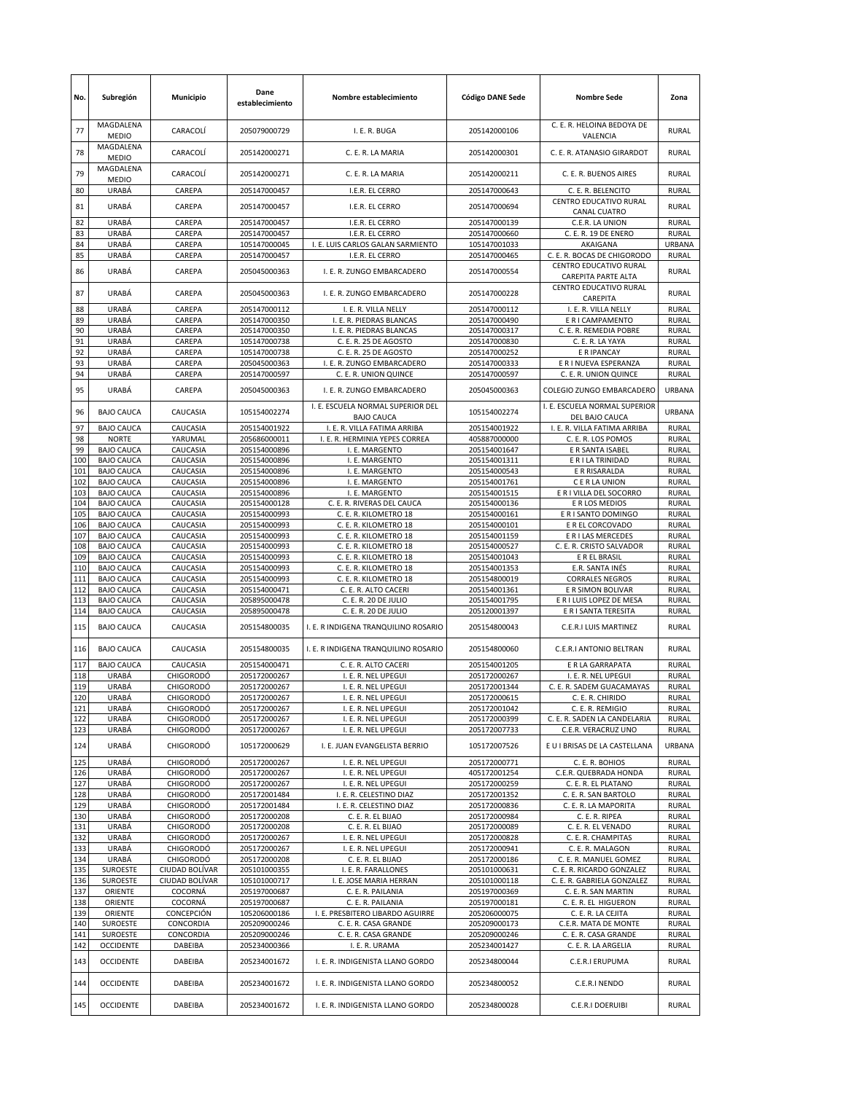| No.        | Subregión                              | Municipio                            | Dane<br>establecimiento      | Nombre establecimiento                                         | <b>Código DANE Sede</b>      | <b>Nombre Sede</b>                                         | Zona                         |
|------------|----------------------------------------|--------------------------------------|------------------------------|----------------------------------------------------------------|------------------------------|------------------------------------------------------------|------------------------------|
| 77         | MAGDALENA<br><b>MEDIO</b>              | CARACOLÍ                             | 205079000729                 | I. E. R. BUGA                                                  | 205142000106                 | C. E. R. HELOINA BEDOYA DE<br>VALENCIA                     | <b>RURAL</b>                 |
| 78         | MAGDALENA<br><b>MEDIO</b>              | CARACOLÍ                             | 205142000271                 | C. E. R. LA MARIA                                              | 205142000301                 | C. E. R. ATANASIO GIRARDOT                                 | RURAL                        |
| 79         | MAGDALENA<br><b>MEDIO</b>              | CARACOLÍ                             | 205142000271                 | C. E. R. LA MARIA                                              | 205142000211                 | C. E. R. BUENOS AIRES                                      | RURAL                        |
| 80         | URABÁ                                  | CAREPA                               | 205147000457                 | I.E.R. EL CERRO                                                | 205147000643                 | C. E. R. BELENCITO<br>CENTRO EDUCATIVO RURAL               | RURAL                        |
| 81<br>82   | URABÁ<br>URABÁ                         | CAREPA<br>CAREPA                     | 205147000457<br>205147000457 | I.E.R. EL CERRO<br>I.E.R. EL CERRO                             | 205147000694<br>205147000139 | CANAL CUATRO<br>C.E.R. LA UNION                            | <b>RURAL</b><br><b>RURAL</b> |
| 83         | URABÁ                                  | CAREPA                               | 205147000457                 | I.E.R. EL CERRO                                                | 205147000660                 | C. E. R. 19 DE ENERO                                       | <b>RURAL</b>                 |
| 84         | URABÁ                                  | CAREPA                               | 105147000045                 | I. E. LUIS CARLOS GALAN SARMIENTO                              | 105147001033                 | AKAIGANA                                                   | <b>URBANA</b>                |
| 85         | URABÁ                                  | CAREPA                               | 205147000457                 | I.E.R. EL CERRO                                                | 205147000465                 | C. E. R. BOCAS DE CHIGORODO                                | <b>RURAL</b>                 |
| 86         | URABÁ                                  | CAREPA                               | 205045000363                 | I. E. R. ZUNGO EMBARCADERO                                     | 205147000554                 | CENTRO EDUCATIVO RURAL<br>CAREPITA PARTE ALTA              | RURAL                        |
| 87         | URABÁ                                  | CAREPA                               | 205045000363                 | I. E. R. ZUNGO EMBARCADERO                                     | 205147000228                 | CENTRO EDUCATIVO RURAL<br>CAREPITA                         | <b>RURAL</b>                 |
| 88         | URABÁ                                  | CAREPA                               | 205147000112                 | I. E. R. VILLA NELLY                                           | 205147000112                 | I. E. R. VILLA NELLY                                       | <b>RURAL</b>                 |
| 89<br>90   | URABÁ<br>URABÁ                         | CAREPA<br>CAREPA                     | 205147000350<br>205147000350 | I. E. R. PIEDRAS BLANCAS<br>I. E. R. PIEDRAS BLANCAS           | 205147000490<br>205147000317 | E R I CAMPAMENTO<br>C. E. R. REMEDIA POBRE                 | RURAL<br><b>RURAL</b>        |
| 91         | URABÁ                                  | CAREPA                               | 105147000738                 | C. E. R. 25 DE AGOSTO                                          | 205147000830                 | C. E. R. LA YAYA                                           | RURAL                        |
| 92         | URABÁ                                  | CAREPA                               | 105147000738                 | C. E. R. 25 DE AGOSTO                                          | 205147000252                 | E R IPANCAY                                                | <b>RURAL</b>                 |
| 93         | URABÁ                                  | CAREPA                               | 205045000363                 | I. E. R. ZUNGO EMBARCADERO                                     | 205147000333                 | E R I NUEVA ESPERANZA                                      | <b>RURAL</b>                 |
| 94         | URABÁ                                  | CAREPA                               | 205147000597                 | C. E. R. UNION QUINCE                                          | 205147000597                 | C. E. R. UNION QUINCE                                      | RURAL                        |
| 95         | URABÁ                                  | CAREPA                               | 205045000363                 | I. E. R. ZUNGO EMBARCADERO                                     | 205045000363                 | COLEGIO ZUNGO EMBARCADERO<br>I. E. ESCUELA NORMAL SUPERIOR | URBANA                       |
| 96         | <b>BAJO CAUCA</b>                      | CAUCASIA                             | 105154002274                 | I. E. ESCUELA NORMAL SUPERIOR DEL<br><b>BAJO CAUCA</b>         | 105154002274                 | DEL BAJO CAUCA                                             | <b>URBANA</b>                |
| 97<br>98   | <b>BAJO CAUCA</b><br><b>NORTE</b>      | CAUCASIA<br>YARUMAL                  | 205154001922<br>205686000011 | I. E. R. VILLA FATIMA ARRIBA<br>I. E. R. HERMINIA YEPES CORREA | 205154001922<br>405887000000 | I. E. R. VILLA FATIMA ARRIBA<br>C. E. R. LOS POMOS         | <b>RURAL</b><br><b>RURAL</b> |
| 99         | <b>BAJO CAUCA</b>                      | CAUCASIA                             | 205154000896                 | I. E. MARGENTO                                                 | 205154001647                 | E R SANTA ISABEL                                           | <b>RURAL</b>                 |
| 100        | <b>BAJO CAUCA</b>                      | CAUCASIA                             | 205154000896                 | I. E. MARGENTO                                                 | 205154001311                 | E R I LA TRINIDAD                                          | RURAL                        |
| 101        | <b>BAJO CAUCA</b>                      | CAUCASIA                             | 205154000896                 | I. E. MARGENTO                                                 | 205154000543                 | E R RISARALDA                                              | <b>RURAL</b>                 |
| 102        | <b>BAJO CAUCA</b>                      | CAUCASIA                             | 205154000896                 | I. E. MARGENTO                                                 | 205154001761                 | C E R LA UNION                                             | RURAL                        |
| 103<br>104 | <b>BAJO CAUCA</b><br><b>BAJO CAUCA</b> | CAUCASIA<br>CAUCASIA                 | 205154000896<br>205154000128 | I. E. MARGENTO<br>C. E. R. RIVERAS DEL CAUCA                   | 205154001515<br>205154000136 | E R I VILLA DEL SOCORRO<br>E R LOS MEDIOS                  | RURAL<br><b>RURAL</b>        |
| 105        | <b>BAJO CAUCA</b>                      | CAUCASIA                             | 205154000993                 | C. E. R. KILOMETRO 18                                          | 205154000161                 | E R I SANTO DOMINGO                                        | <b>RURAL</b>                 |
| 106        | <b>BAJO CAUCA</b>                      | CAUCASIA                             | 205154000993                 | C. E. R. KILOMETRO 18                                          | 205154000101                 | E R EL CORCOVADO                                           | RURAL                        |
| 107        | <b>BAJO CAUCA</b>                      | CAUCASIA                             | 205154000993                 | C. E. R. KILOMETRO 18                                          | 205154001159                 | E R I LAS MERCEDES                                         | RURAL                        |
| 108<br>109 | <b>BAJO CAUCA</b><br><b>BAJO CAUCA</b> | CAUCASIA<br>CAUCASIA                 | 205154000993<br>205154000993 | C. E. R. KILOMETRO 18<br>C. E. R. KILOMETRO 18                 | 205154000527<br>205154001043 | C. E. R. CRISTO SALVADOR<br>E R EL BRASIL                  | RURAL<br><b>RURAL</b>        |
| 110        | <b>BAJO CAUCA</b>                      | CAUCASIA                             | 205154000993                 | C. E. R. KILOMETRO 18                                          | 205154001353                 | E.R. SANTA INÉS                                            | <b>RURAL</b>                 |
| 111        | <b>BAJO CAUCA</b>                      | CAUCASIA                             | 205154000993                 | C. E. R. KILOMETRO 18                                          | 205154800019                 | <b>CORRALES NEGROS</b>                                     | <b>RURAL</b>                 |
| 112        | <b>BAJO CAUCA</b>                      | CAUCASIA                             | 205154000471                 | C. E. R. ALTO CACERI                                           | 205154001361                 | E R SIMON BOLIVAR                                          | RURAL                        |
| 113<br>114 | <b>BAJO CAUCA</b><br><b>BAJO CAUCA</b> | CAUCASIA<br>CAUCASIA                 | 205895000478<br>205895000478 | C. E. R. 20 DE JULIO<br>C. E. R. 20 DE JULIO                   | 205154001795<br>205120001397 | E R I LUIS LOPEZ DE MESA<br>E R I SANTA TERESITA           | RURAL<br><b>RURAL</b>        |
|            |                                        |                                      |                              |                                                                |                              |                                                            |                              |
| 115        | <b>BAJO CAUCA</b>                      | CAUCASIA                             | 205154800035                 | I. E. R INDIGENA TRANQUILINO ROSARIO                           | 205154800043                 | C.E.R.I LUIS MARTINEZ                                      | RURAL                        |
| 116<br>117 | <b>BAJO CAUCA</b><br><b>BAJO CAUCA</b> | CAUCASIA<br>CAUCASIA                 | 205154800035<br>205154000471 | I. E. R INDIGENA TRANQUILINO ROSARIO<br>C. E. R. ALTO CACERI   | 205154800060<br>205154001205 | <b>C.E.R.I ANTONIO BELTRAN</b><br>E R LA GARRAPATA         | RURAL<br><b>RURAL</b>        |
| 118        | URABÁ                                  | <b>CHIGORODÓ</b>                     | 205172000267                 | I. E. R. NEL UPEGUI                                            | 205172000267                 | I. E. R. NEL UPEGUI                                        | RURAL                        |
| 119        | URABÁ                                  | <b>CHIGORODÓ</b>                     | 205172000267                 | I. E. R. NEL UPEGUI                                            | 205172001344                 | C. E. R. SADEM GUACAMAYAS                                  | RURAL                        |
| 120        | URABA                                  | <b>CHIGORODO</b>                     | 205172000267                 | I. E. R. NEL UPEGUI                                            | 205172000615                 | C. E. R. CHIRIDO                                           | RURAL                        |
| 121        | URABÁ                                  | <b>CHIGORODÓ</b>                     | 205172000267                 | I. E. R. NEL UPEGUI                                            | 205172001042                 | C. E. R. REMIGIO                                           | <b>RURAL</b>                 |
| 122<br>123 | URABÁ<br>URABÁ                         | CHIGORODÓ<br><b>CHIGORODÓ</b>        | 205172000267<br>205172000267 | I. E. R. NEL UPEGUI<br>I. E. R. NEL UPEGUI                     | 205172000399<br>205172007733 | C. E. R. SADEN LA CANDELARIA<br>C.E.R. VERACRUZ UNO        | <b>RURAL</b><br><b>RURAL</b> |
| 124        | URABÁ                                  | <b>CHIGORODÓ</b>                     | 105172000629                 | I. E. JUAN EVANGELISTA BERRIO                                  | 105172007526                 | E U I BRISAS DE LA CASTELLANA                              | URBANA                       |
| 125        | URABÁ                                  | CHIGORODÓ                            | 205172000267                 | I. E. R. NEL UPEGUI                                            | 205172000771                 | C. E. R. BOHIOS                                            | <b>RURAL</b>                 |
| 126        | URABÁ                                  | <b>CHIGORODÓ</b>                     | 205172000267                 | I. E. R. NEL UPEGUI                                            | 405172001254                 | C.E.R. QUEBRADA HONDA                                      | <b>RURAL</b>                 |
| 127        | URABÁ<br>URABÁ                         | <b>CHIGORODÓ</b><br><b>CHIGORODÓ</b> | 205172000267<br>205172001484 | I. E. R. NEL UPEGUI<br>I. E. R. CELESTINO DIAZ                 | 205172000259<br>205172001352 | C. E. R. EL PLATANO                                        | RURAL<br>RURAL               |
| 128<br>129 | URABÁ                                  | <b>CHIGORODÓ</b>                     | 205172001484                 | I. E. R. CELESTINO DIAZ                                        | 205172000836                 | C. E. R. SAN BARTOLO<br>C. E. R. LA MAPORITA               | <b>RURAL</b>                 |
| 130        | URABÁ                                  | CHIGORODÓ                            | 205172000208                 | C. E. R. EL BIJAO                                              | 205172000984                 | C. E. R. RIPEA                                             | <b>RURAL</b>                 |
| 131        | URABÁ                                  | <b>CHIGORODÓ</b>                     | 205172000208                 | C. E. R. EL BIJAO                                              | 205172000089                 | C. E. R. EL VENADO                                         | <b>RURAL</b>                 |
| 132        | URABÁ                                  | <b>CHIGORODÓ</b>                     | 205172000267                 | I. E. R. NEL UPEGUI                                            | 205172000828                 | C. E. R. CHAMPITAS                                         | <b>RURAL</b>                 |
| 133<br>134 | URABÁ<br>URABÁ                         | <b>CHIGORODÓ</b><br><b>CHIGORODÓ</b> | 205172000267<br>205172000208 | I. E. R. NEL UPEGUI<br>C. E. R. EL BIJAO                       | 205172000941<br>205172000186 | C. E. R. MALAGON<br>C. E. R. MANUEL GOMEZ                  | <b>RURAL</b><br><b>RURAL</b> |
| 135        | SUROESTE                               | CIUDAD BOLÍVAR                       | 205101000355                 | I. E. R. FARALLONES                                            | 205101000631                 | C. E. R. RICARDO GONZALEZ                                  | <b>RURAL</b>                 |
| 136        | SUROESTE                               | CIUDAD BOLÍVAR                       | 105101000717                 | I. E. JOSE MARIA HERRAN                                        | 205101000118                 | C. E. R. GABRIELA GONZALEZ                                 | <b>RURAL</b>                 |
| 137        | ORIENTE                                | COCORNÁ                              | 205197000687                 | C. E. R. PAILANIA                                              | 205197000369                 | C. E. R. SAN MARTIN                                        | <b>RURAL</b>                 |
| 138<br>139 | ORIENTE<br>ORIENTE                     | COCORNÁ<br>CONCEPCIÓN                | 205197000687<br>105206000186 | C. E. R. PAILANIA<br>I. E. PRESBITERO LIBARDO AGUIRRE          | 205197000181<br>205206000075 | C. E. R. EL HIGUERON<br>C. E. R. LA CEJITA                 | RURAL<br><b>RURAL</b>        |
| 140        | SUROESTE                               | CONCORDIA                            | 205209000246                 | C. E. R. CASA GRANDE                                           | 205209000173                 | C.E.R. MATA DE MONTE                                       | <b>RURAL</b>                 |
| 141        | SUROESTE                               | CONCORDIA                            | 205209000246                 | C. E. R. CASA GRANDE                                           | 205209000246                 | C. E. R. CASA GRANDE                                       | <b>RURAL</b>                 |
| 142        | <b>OCCIDENTE</b>                       | DABEIBA                              | 205234000366                 | I. E. R. URAMA                                                 | 205234001427                 | C. E. R. LA ARGELIA                                        | RURAL                        |
| 143        | <b>OCCIDENTE</b>                       | DABEIBA                              | 205234001672                 | I. E. R. INDIGENISTA LLANO GORDO                               | 205234800044                 | C.E.R.I ERUPUMA                                            | RURAL                        |
| 144        | <b>OCCIDENTE</b>                       | DABEIBA                              | 205234001672                 | I. E. R. INDIGENISTA LLANO GORDO                               | 205234800052                 | C.E.R.I NENDO                                              | <b>RURAL</b>                 |
| 145        | <b>OCCIDENTE</b>                       | DABEIBA                              | 205234001672                 | I. E. R. INDIGENISTA LLANO GORDO                               | 205234800028                 | C.E.R.I DOERUIBI                                           | RURAL                        |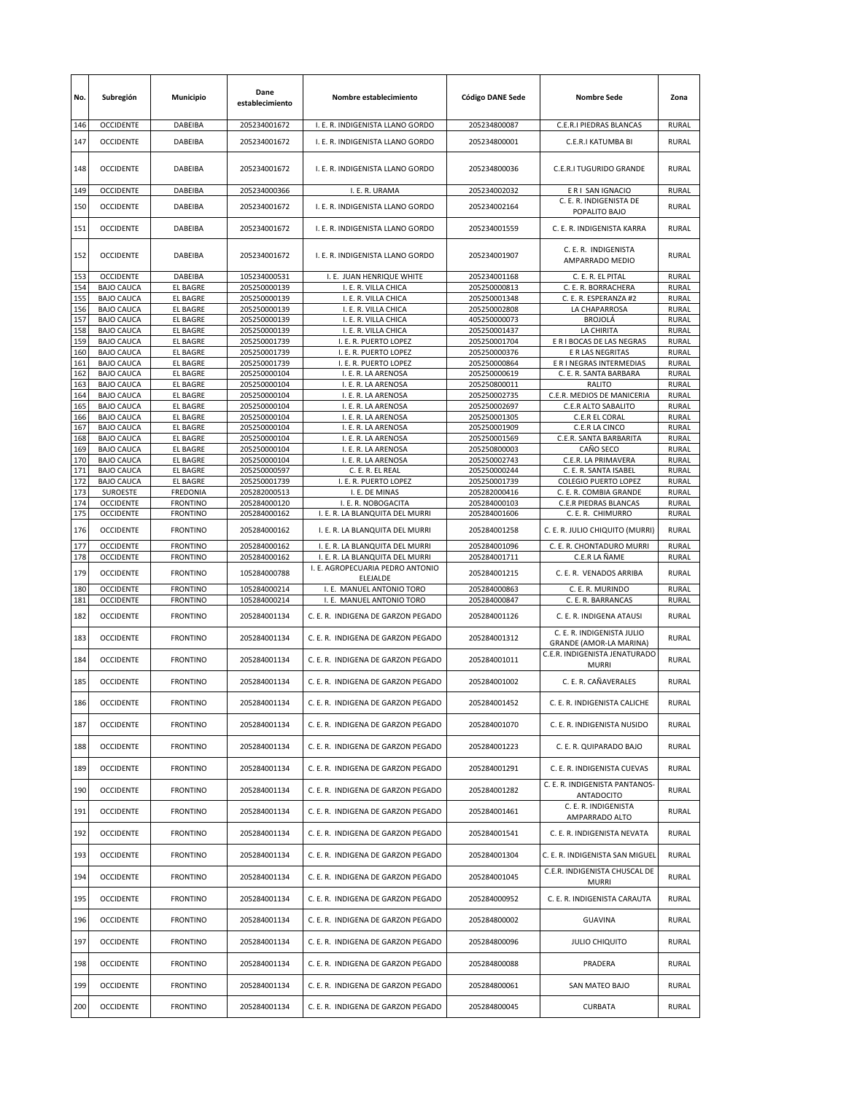| No.        | Subregión                              | <b>Municipio</b>                   | Dane<br>establecimiento      | Nombre establecimiento                                              | <b>Código DANE Sede</b>      | <b>Nombre Sede</b>                                    | Zona                  |
|------------|----------------------------------------|------------------------------------|------------------------------|---------------------------------------------------------------------|------------------------------|-------------------------------------------------------|-----------------------|
| 146        | <b>OCCIDENTE</b>                       | DABEIBA                            | 205234001672                 | I. E. R. INDIGENISTA LLANO GORDO                                    | 205234800087                 | C.E.R.I PIEDRAS BLANCAS                               | <b>RURAL</b>          |
| 147        | <b>OCCIDENTE</b>                       | DABEIBA                            | 205234001672                 | I. E. R. INDIGENISTA LLANO GORDO                                    | 205234800001                 | C.E.R.I KATUMBA BI                                    | <b>RURAL</b>          |
| 148        | <b>OCCIDENTE</b>                       | DABEIBA                            | 205234001672                 | I. E. R. INDIGENISTA LLANO GORDO                                    | 205234800036                 | C.E.R.I TUGURIDO GRANDE                               | <b>RURAL</b>          |
| 149        | <b>OCCIDENTE</b>                       | DABEIBA                            | 205234000366                 | I. E. R. URAMA                                                      | 205234002032                 | E R I SAN IGNACIO                                     | <b>RURAL</b>          |
| 150        | <b>OCCIDENTE</b>                       | DABEIBA                            | 205234001672                 | I. E. R. INDIGENISTA LLANO GORDO                                    | 205234002164                 | C. E. R. INDIGENISTA DE<br>POPALITO BAJO              | <b>RURAL</b>          |
| 151        | <b>OCCIDENTE</b>                       | <b>DABEIBA</b>                     | 205234001672                 | I. E. R. INDIGENISTA LLANO GORDO                                    | 205234001559                 | C. E. R. INDIGENISTA KARRA                            | <b>RURAL</b>          |
| 152        | <b>OCCIDENTE</b>                       | DABEIBA                            | 205234001672                 | I. E. R. INDIGENISTA LLANO GORDO                                    | 205234001907                 | C. E. R. INDIGENISTA<br>AMPARRADO MEDIO               | <b>RURAL</b>          |
| 153<br>154 | <b>OCCIDENTE</b><br><b>BAJO CAUCA</b>  | DABEIBA<br><b>EL BAGRE</b>         | 105234000531<br>205250000139 | I. E. JUAN HENRIQUE WHITE<br>I. E. R. VILLA CHICA                   | 205234001168<br>205250000813 | C. E. R. EL PITAL<br>C. E. R. BORRACHERA              | RURAL<br><b>RURAL</b> |
| 155        | <b>BAJO CAUCA</b>                      | <b>EL BAGRE</b>                    | 205250000139                 | I. E. R. VILLA CHICA                                                | 205250001348                 | C. E. R. ESPERANZA #2                                 | <b>RURAL</b>          |
| 156        | <b>BAJO CAUCA</b>                      | <b>EL BAGRE</b>                    | 205250000139                 | I. E. R. VILLA CHICA                                                | 205250002808                 | LA CHAPARROSA                                         | <b>RURAL</b>          |
| 157        | <b>BAJO CAUCA</b>                      | <b>EL BAGRE</b>                    | 205250000139                 | I. E. R. VILLA CHICA                                                | 405250000073                 | <b>BROJOLÁ</b>                                        | RURAL                 |
| 158        | <b>BAJO CAUCA</b>                      | <b>EL BAGRE</b>                    | 205250000139                 | I. E. R. VILLA CHICA                                                | 205250001437                 | LA CHIRITA                                            | RURAL                 |
| 159        | <b>BAJO CAUCA</b>                      | <b>EL BAGRE</b>                    | 205250001739                 | I. E. R. PUERTO LOPEZ                                               | 205250001704                 | E R I BOCAS DE LAS NEGRAS                             | <b>RURAL</b>          |
| 160        | <b>BAJO CAUCA</b>                      | <b>EL BAGRE</b>                    | 205250001739                 | I. E. R. PUERTO LOPEZ                                               | 205250000376                 | E R LAS NEGRITAS                                      | RURAL                 |
| 161        | <b>BAJO CAUCA</b>                      | <b>EL BAGRE</b>                    | 205250001739                 | I. E. R. PUERTO LOPEZ                                               | 205250000864                 | E R I NEGRAS INTERMEDIAS                              | <b>RURAL</b>          |
| 162<br>163 | <b>BAJO CAUCA</b><br><b>BAJO CAUCA</b> | EL BAGRE<br><b>EL BAGRE</b>        | 205250000104<br>205250000104 | I. E. R. LA ARENOSA<br>I. E. R. LA ARENOSA                          | 205250000619<br>205250800011 | C. E. R. SANTA BARBARA<br>RALITO                      | RURAL<br>RURAL        |
| 164        | <b>BAJO CAUCA</b>                      | <b>EL BAGRE</b>                    | 205250000104                 | I. E. R. LA ARENOSA                                                 | 205250002735                 | C.E.R. MEDIOS DE MANICERIA                            | <b>RURAL</b>          |
| 165        | <b>BAJO CAUCA</b>                      | <b>EL BAGRE</b>                    | 205250000104                 | I. E. R. LA ARENOSA                                                 | 205250002697                 | C.E.R ALTO SABALITO                                   | <b>RURAL</b>          |
| 166        | <b>BAJO CAUCA</b>                      | <b>EL BAGRE</b>                    | 205250000104                 | I. E. R. LA ARENOSA                                                 | 205250001305                 | C.E.R EL CORAL                                        | <b>RURAL</b>          |
| 167        | <b>BAJO CAUCA</b>                      | <b>EL BAGRE</b>                    | 205250000104                 | I. E. R. LA ARENOSA                                                 | 205250001909                 | C.E.R LA CINCO                                        | RURAL                 |
| 168        | <b>BAJO CAUCA</b>                      | <b>EL BAGRE</b>                    | 205250000104                 | I. E. R. LA ARENOSA                                                 | 205250001569                 | C.E.R. SANTA BARBARITA                                | RURAL                 |
| 169        | <b>BAJO CAUCA</b>                      | <b>EL BAGRE</b>                    | 205250000104                 | I. E. R. LA ARENOSA                                                 | 205250800003                 | CAÑO SECO                                             | <b>RURAL</b>          |
| 170        | <b>BAJO CAUCA</b>                      | <b>EL BAGRE</b>                    | 205250000104                 | I. E. R. LA ARENOSA                                                 | 205250002743                 | C.E.R. LA PRIMAVERA                                   | RURAL                 |
| 171<br>172 | <b>BAJO CAUCA</b><br><b>BAJO CAUCA</b> | <b>EL BAGRE</b>                    | 205250000597                 | C. E. R. EL REAL                                                    | 205250000244<br>205250001739 | C. E. R. SANTA ISABEL                                 | <b>RURAL</b><br>RURAL |
| 173        | <b>SUROESTE</b>                        | <b>EL BAGRE</b><br><b>FREDONIA</b> | 205250001739<br>205282000513 | I. E. R. PUERTO LOPEZ<br>I. E. DE MINAS                             | 205282000416                 | <b>COLEGIO PUERTO LOPEZ</b><br>C. E. R. COMBIA GRANDE | RURAL                 |
| 174        | <b>OCCIDENTE</b>                       | <b>FRONTINO</b>                    | 205284000120                 | I. E. R. NOBOGACITA                                                 | 205284000103                 | C.E.R PIEDRAS BLANCAS                                 | <b>RURAL</b>          |
| 175        | <b>OCCIDENTE</b>                       | <b>FRONTINO</b>                    | 205284000162                 | I. E. R. LA BLANQUITA DEL MURRI                                     | 205284001606                 | C. E. R. CHIMURRO                                     | <b>RURAL</b>          |
| 176        | <b>OCCIDENTE</b>                       | <b>FRONTINO</b>                    | 205284000162                 | I. E. R. LA BLANQUITA DEL MURRI                                     | 205284001258                 | C. E. R. JULIO CHIQUITO (MURRI)                       | <b>RURAL</b>          |
| 177        | <b>OCCIDENTE</b>                       | <b>FRONTINO</b>                    | 205284000162                 | I. E. R. LA BLANQUITA DEL MURRI                                     | 205284001096                 | C. E. R. CHONTADURO MURRI                             | RURAL                 |
| 178        | <b>OCCIDENTE</b>                       | <b>FRONTINO</b>                    | 205284000162                 | I. E. R. LA BLANQUITA DEL MURRI<br>I. E. AGROPECUARIA PEDRO ANTONIO | 205284001711                 | C.E.R LA ÑAME                                         | <b>RURAL</b>          |
| 179        | <b>OCCIDENTE</b>                       | <b>FRONTINO</b>                    | 105284000788                 | ELEJALDE                                                            | 205284001215                 | C. E. R. VENADOS ARRIBA                               | <b>RURAL</b>          |
| 180<br>181 | <b>OCCIDENTE</b><br><b>OCCIDENTE</b>   | <b>FRONTINO</b><br><b>FRONTINO</b> | 105284000214<br>105284000214 | I. E. MANUEL ANTONIO TORO<br>I. E. MANUEL ANTONIO TORO              | 205284000863<br>205284000847 | C. E. R. MURINDO<br>C. E. R. BARRANCAS                | <b>RURAL</b><br>RURAL |
| 182        | <b>OCCIDENTE</b>                       | <b>FRONTINO</b>                    | 205284001134                 | C. E. R. INDIGENA DE GARZON PEGADO                                  | 205284001126                 | C. E. R. INDIGENA ATAUSI                              | <b>RURAL</b>          |
| 183        | <b>OCCIDENTE</b>                       | <b>FRONTINO</b>                    | 205284001134                 | C. E. R. INDIGENA DE GARZON PEGADO                                  | 205284001312                 | C. E. R. INDIGENISTA JULIO<br>GRANDE (AMOR-LA MARINA) | <b>RURAL</b>          |
| 184        | <b>OCCIDENTE</b>                       | <b>FRONTINO</b>                    | 205284001134                 | C. E. R. INDIGENA DE GARZON PEGADO                                  | 205284001011                 | C.E.R. INDIGENISTA JENATURADO<br><b>MURRI</b>         | <b>RURAL</b>          |
| 185        | <b>OCCIDENTE</b>                       | <b>FRONTINO</b>                    | 205284001134                 | C. E. R. INDIGENA DE GARZON PEGADO                                  | 205284001002                 | C. E. R. CAÑAVERALES                                  | RURAL                 |
| 186        | OCCIDENTE                              | <b>FRONTINO</b>                    | 205284001134                 | C. E. R. INDIGENA DE GARZON PEGADO                                  | 205284001452                 | C. E. R. INDIGENISTA CALICHE                          | RURAL                 |
| 187        | <b>OCCIDENTE</b>                       | <b>FRONTINO</b>                    | 205284001134                 | C. E. R. INDIGENA DE GARZON PEGADO                                  | 205284001070                 | C. E. R. INDIGENISTA NUSIDO                           | <b>RURAL</b>          |
| 188        | <b>OCCIDENTE</b>                       | <b>FRONTINO</b>                    | 205284001134                 | C. E. R. INDIGENA DE GARZON PEGADO                                  | 205284001223                 | C. E. R. QUIPARADO BAJO                               | RURAL                 |
| 189        | <b>OCCIDENTE</b>                       | <b>FRONTINO</b>                    | 205284001134                 | C. E. R. INDIGENA DE GARZON PEGADO                                  | 205284001291                 | C. E. R. INDIGENISTA CUEVAS                           | RURAL                 |
| 190        | <b>OCCIDENTE</b>                       | <b>FRONTINO</b>                    | 205284001134                 | C. E. R. INDIGENA DE GARZON PEGADO                                  | 205284001282                 | C. E. R. INDIGENISTA PANTANOS-<br><b>ANTADOCITO</b>   | RURAL                 |
| 191        | <b>OCCIDENTE</b>                       | <b>FRONTINO</b>                    | 205284001134                 | C. E. R. INDIGENA DE GARZON PEGADO                                  | 205284001461                 | C. E. R. INDIGENISTA<br>AMPARRADO ALTO                | RURAL                 |
| 192        | <b>OCCIDENTE</b>                       | <b>FRONTINO</b>                    | 205284001134                 | C. E. R. INDIGENA DE GARZON PEGADO                                  | 205284001541                 | C. E. R. INDIGENISTA NEVATA                           | RURAL                 |
| 193        | <b>OCCIDENTE</b>                       | <b>FRONTINO</b>                    | 205284001134                 | C. E. R. INDIGENA DE GARZON PEGADO                                  | 205284001304                 | C. E. R. INDIGENISTA SAN MIGUEL                       | RURAL                 |
| 194        | <b>OCCIDENTE</b>                       | <b>FRONTINO</b>                    | 205284001134                 | C. E. R. INDIGENA DE GARZON PEGADO                                  | 205284001045                 | C.E.R. INDIGENISTA CHUSCAL DE<br><b>MURRI</b>         | RURAL                 |
| 195        | <b>OCCIDENTE</b>                       | <b>FRONTINO</b>                    | 205284001134                 | C. E. R. INDIGENA DE GARZON PEGADO                                  | 205284000952                 | C. E. R. INDIGENISTA CARAUTA                          | RURAL                 |
| 196        | <b>OCCIDENTE</b>                       | <b>FRONTINO</b>                    | 205284001134                 | C. E. R. INDIGENA DE GARZON PEGADO                                  | 205284800002                 | <b>GUAVINA</b>                                        | RURAL                 |
| 197        | <b>OCCIDENTE</b>                       | <b>FRONTINO</b>                    | 205284001134                 | C. E. R. INDIGENA DE GARZON PEGADO                                  | 205284800096                 | <b>JULIO CHIQUITO</b>                                 | RURAL                 |
| 198        | <b>OCCIDENTE</b>                       | <b>FRONTINO</b>                    | 205284001134                 | C. E. R. INDIGENA DE GARZON PEGADO                                  | 205284800088                 | PRADERA                                               | RURAL                 |
| 199        | <b>OCCIDENTE</b>                       | <b>FRONTINO</b>                    | 205284001134                 | C. E. R. INDIGENA DE GARZON PEGADO                                  | 205284800061                 | SAN MATEO BAJO                                        | RURAL                 |
| 200        | <b>OCCIDENTE</b>                       | <b>FRONTINO</b>                    | 205284001134                 | C. E. R. INDIGENA DE GARZON PEGADO                                  | 205284800045                 | CURBATA                                               | RURAL                 |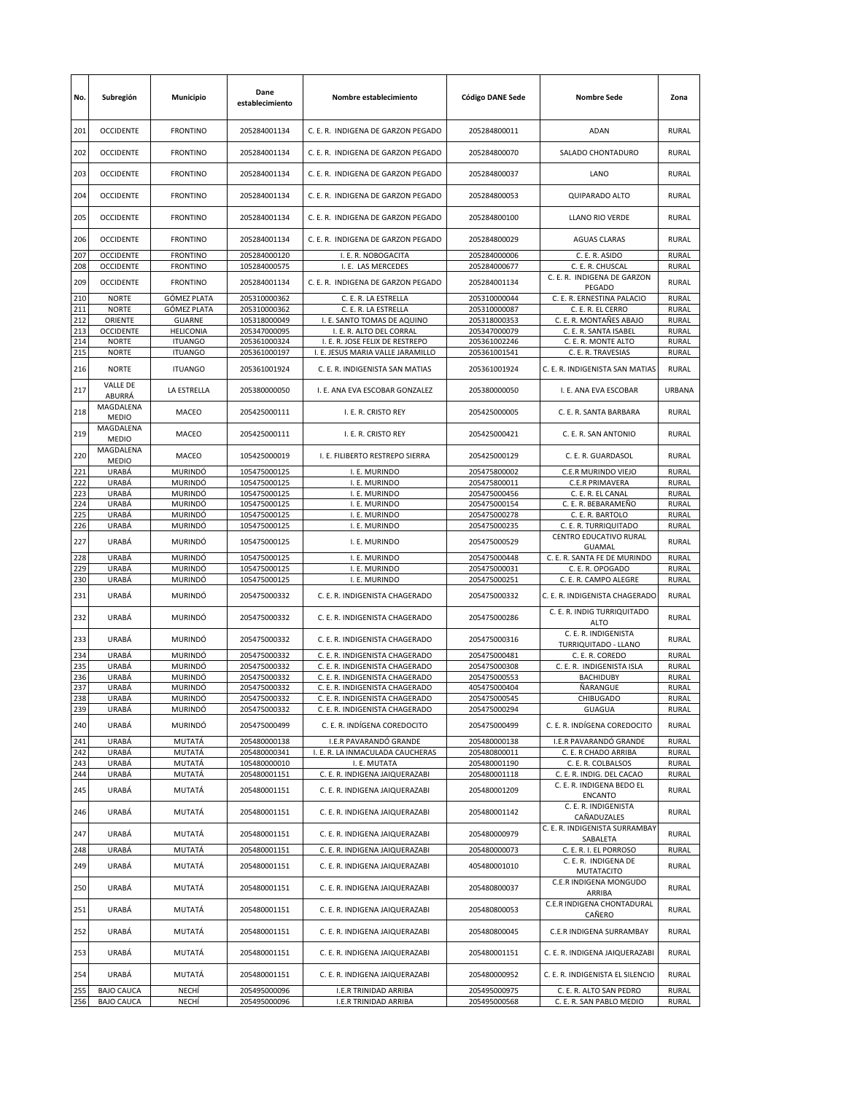| No.        | Subregión                            | Municipio                                | Dane<br>establecimiento      | Nombre establecimiento                                           | <b>Código DANE Sede</b>      | <b>Nombre Sede</b>                                            | Zona                         |
|------------|--------------------------------------|------------------------------------------|------------------------------|------------------------------------------------------------------|------------------------------|---------------------------------------------------------------|------------------------------|
| 201        | <b>OCCIDENTE</b>                     | <b>FRONTINO</b>                          | 205284001134                 | C. E. R. INDIGENA DE GARZON PEGADO                               | 205284800011                 | <b>ADAN</b>                                                   | <b>RURAL</b>                 |
| 202        | <b>OCCIDENTE</b>                     | <b>FRONTINO</b>                          | 205284001134                 | C. E. R. INDIGENA DE GARZON PEGADO                               | 205284800070                 | SALADO CHONTADURO                                             | RURAL                        |
| 203        | <b>OCCIDENTE</b>                     | <b>FRONTINO</b>                          | 205284001134                 | C. E. R. INDIGENA DE GARZON PEGADO                               | 205284800037                 | LANO                                                          | <b>RURAL</b>                 |
| 204        | <b>OCCIDENTE</b>                     | <b>FRONTINO</b>                          | 205284001134                 | C. E. R. INDIGENA DE GARZON PEGADO                               | 205284800053                 | QUIPARADO ALTO                                                | RURAL                        |
| 205        | <b>OCCIDENTE</b>                     | <b>FRONTINO</b>                          | 205284001134                 | C. E. R. INDIGENA DE GARZON PEGADO                               | 205284800100                 | LLANO RIO VERDE                                               | RURAL                        |
| 206        | <b>OCCIDENTE</b>                     | <b>FRONTINO</b>                          | 205284001134                 | C. E. R. INDIGENA DE GARZON PEGADO                               | 205284800029                 | <b>AGUAS CLARAS</b>                                           | RURAL                        |
| 207<br>208 | <b>OCCIDENTE</b><br><b>OCCIDENTE</b> | <b>FRONTINO</b><br><b>FRONTINO</b>       | 205284000120<br>105284000575 | I. E. R. NOBOGACITA<br>I. E. LAS MERCEDES                        | 205284000006<br>205284000677 | C. E. R. ASIDO<br>C. E. R. CHUSCAL                            | <b>RURAL</b><br>RURAL        |
| 209        | <b>OCCIDENTE</b>                     | <b>FRONTINO</b>                          | 205284001134                 | C. E. R. INDIGENA DE GARZON PEGADO                               | 205284001134                 | C. E. R. INDIGENA DE GARZON<br>PEGADO                         | <b>RURAL</b>                 |
| 210<br>211 | <b>NORTE</b><br><b>NORTE</b>         | <b>GÓMEZ PLATA</b><br><b>GÓMEZ PLATA</b> | 205310000362<br>205310000362 | C. E. R. LA ESTRELLA<br>C. E. R. LA ESTRELLA                     | 205310000044<br>205310000087 | C. E. R. ERNESTINA PALACIO<br>C. E. R. EL CERRO               | RURAL<br><b>RURAL</b>        |
| 212        | ORIENTE                              | <b>GUARNE</b>                            | 105318000049                 | I. E. SANTO TOMAS DE AQUINO                                      | 205318000353                 | C. E. R. MONTAÑES ABAJO                                       | RURAL                        |
| 213        | <b>OCCIDENTE</b>                     | <b>HELICONIA</b>                         | 205347000095                 | I. E. R. ALTO DEL CORRAL                                         | 205347000079                 | C. E. R. SANTA ISABEL                                         | RURAL                        |
| 214        | <b>NORTE</b>                         | <b>ITUANGO</b>                           | 205361000324                 | I. E. R. JOSE FELIX DE RESTREPO                                  | 205361002246                 | C. E. R. MONTE ALTO                                           | <b>RURAL</b>                 |
| 215        | <b>NORTE</b>                         | <b>ITUANGO</b>                           | 205361000197                 | I. E. JESUS MARIA VALLE JARAMILLO                                | 205361001541                 | C. E. R. TRAVESIAS                                            | <b>RURAL</b>                 |
| 216        | <b>NORTE</b><br><b>VALLE DE</b>      | <b>ITUANGO</b>                           | 205361001924                 | C. E. R. INDIGENISTA SAN MATIAS                                  | 205361001924                 | C. E. R. INDIGENISTA SAN MATIAS                               | RURAL                        |
| 217        | ABURRÁ<br>MAGDALENA                  | LA ESTRELLA                              | 205380000050                 | I. E. ANA EVA ESCOBAR GONZALEZ                                   | 205380000050                 | I. E. ANA EVA ESCOBAR                                         | URBANA                       |
| 218        | <b>MEDIO</b>                         | MACEO                                    | 205425000111                 | I. E. R. CRISTO REY                                              | 205425000005                 | C. E. R. SANTA BARBARA                                        | RURAL                        |
| 219        | MAGDALENA<br><b>MEDIO</b>            | MACEO                                    | 205425000111                 | I. E. R. CRISTO REY                                              | 205425000421                 | C. E. R. SAN ANTONIO                                          | RURAL                        |
| 220        | MAGDALENA<br><b>MEDIO</b>            | MACEO                                    | 105425000019                 | I. E. FILIBERTO RESTREPO SIERRA                                  | 205425000129                 | C. E. R. GUARDASOL                                            | RURAL                        |
| 221        | URABÁ                                | <b>MURINDÓ</b>                           | 105475000125                 | I. E. MURINDO                                                    | 205475800002                 | C.E.R MURINDO VIEJO                                           | RURAL                        |
| 222<br>223 | URABÁ<br>URABÁ                       | <b>MURINDÓ</b><br><b>MURINDÓ</b>         | 105475000125<br>105475000125 | I. E. MURINDO<br>I. E. MURINDO                                   | 205475800011<br>205475000456 | C.E.R PRIMAVERA<br>C. E. R. EL CANAL                          | <b>RURAL</b><br><b>RURAL</b> |
| 224        | URABÁ                                | <b>MURINDÓ</b>                           | 105475000125                 | I. E. MURINDO                                                    | 205475000154                 | C. E. R. BEBARAMEÑO                                           | <b>RURAL</b>                 |
| 225        | URABÁ                                | <b>MURINDÓ</b>                           | 105475000125                 | I. E. MURINDO                                                    | 205475000278                 | C. E. R. BARTOLO                                              | RURAL                        |
| 226        | URABÁ                                | <b>MURINDÓ</b>                           | 105475000125                 | I. E. MURINDO                                                    | 205475000235                 | C. E. R. TURRIQUITADO                                         | RURAL                        |
| 227        | URABÁ                                | <b>MURINDÓ</b>                           | 105475000125                 | I. E. MURINDO                                                    | 205475000529                 | CENTRO EDUCATIVO RURAL<br>GUAMAL                              | RURAL                        |
| 228        | URABÁ                                | <b>MURINDÓ</b>                           | 105475000125                 | I. E. MURINDO                                                    | 205475000448                 | C. E. R. SANTA FE DE MURINDO                                  | <b>RURAL</b>                 |
| 229        | URABÁ                                | <b>MURINDÓ</b>                           | 105475000125                 | I. E. MURINDO                                                    | 205475000031                 | C. E. R. OPOGADO                                              | RURAL                        |
| 230        | URABÁ                                | MURINDÓ                                  | 105475000125                 | I. E. MURINDO                                                    | 205475000251                 | C. E. R. CAMPO ALEGRE                                         | RURAL                        |
| 231        | URABÁ                                | <b>MURINDÓ</b>                           | 205475000332                 | C. E. R. INDIGENISTA CHAGERADO                                   | 205475000332                 | C. E. R. INDIGENISTA CHAGERADO<br>C. E. R. INDIG TURRIQUITADO | <b>RURAL</b>                 |
| 232        | URABÁ                                | <b>MURINDÓ</b>                           | 205475000332                 | C. E. R. INDIGENISTA CHAGERADO                                   | 205475000286                 | <b>ALTO</b><br>C. E. R. INDIGENISTA                           | <b>RURAL</b>                 |
| 233        | URABÁ                                | <b>MURINDÓ</b>                           | 205475000332                 | C. E. R. INDIGENISTA CHAGERADO                                   | 205475000316                 | TURRIQUITADO - LLANO                                          | RURAL                        |
| 234<br>235 | URABÁ<br>URABÁ                       | <b>MURINDÓ</b><br><b>MURINDÓ</b>         | 205475000332<br>205475000332 | C. E. R. INDIGENISTA CHAGERADO<br>C. E. R. INDIGENISTA CHAGERADO | 205475000481<br>205475000308 | C. E. R. COREDO<br>C. E. R. INDIGENISTA ISLA                  | RURAL<br>RURAL               |
| 236        | URABÁ                                | <b>MURINDÓ</b>                           | 205475000332                 | C. E. R. INDIGENISTA CHAGERADO                                   | 205475000553                 | BACHIDUBY                                                     | RURAL                        |
| 237        | URABÁ                                | <b>MURINDÓ</b>                           | 205475000332                 | C. E. R. INDIGENISTA CHAGERADO                                   | 405475000404                 | ÑARANGUE                                                      | <b>RURAL</b>                 |
| 238        | URABÁ                                | <b>MURINDÓ</b>                           | 205475000332                 | C. E. R. INDIGENISTA CHAGERADO                                   | 205475000545                 | CHIBUGADO                                                     | RURAL                        |
| 239        | URABÁ                                | <b>MURINDÓ</b>                           | 205475000332                 | C. E. R. INDIGENISTA CHAGERADO                                   | 205475000294                 | GUAGUA                                                        | RURAL                        |
| 240        | URABÁ                                | MURINDÓ                                  | 205475000499                 | C. E. R. INDÍGENA COREDOCITO                                     | 205475000499                 | C. E. R. INDÍGENA COREDOCITO                                  | RURAL                        |
| 241        | URABÁ                                | MUTATÁ                                   | 205480000138                 | I.E.R PAVARANDÓ GRANDE                                           | 205480000138                 | I.E.R PAVARANDÓ GRANDE                                        | <b>RURAL</b>                 |
| 242        | URABÁ                                | MUTATÁ                                   | 205480000341<br>105480000010 | I. E. R. LA INMACULADA CAUCHERAS                                 | 205480800011                 | C. E. R CHADO ARRIBA                                          | <b>RURAL</b>                 |
| 243<br>244 | URABÁ<br>URABÁ                       | MUTATÁ<br>MUTATÁ                         | 205480001151                 | I. E. MUTATA<br>C. E. R. INDIGENA JAIQUERAZABI                   | 205480001190<br>205480001118 | C. E. R. COLBALSOS<br>C. E. R. INDIG. DEL CACAO               | RURAL<br>RURAL               |
| 245        | URABÁ                                | MUTATÁ                                   | 205480001151                 | C. E. R. INDIGENA JAIQUERAZABI                                   | 205480001209                 | C. E. R. INDIGENA BEDO EL<br><b>ENCANTO</b>                   | RURAL                        |
| 246        | URABÁ                                | MUTATÁ                                   | 205480001151                 | C. E. R. INDIGENA JAIQUERAZABI                                   | 205480001142                 | C. E. R. INDIGENISTA<br>CAÑADUZALES                           | <b>RURAL</b>                 |
| 247        | URABÁ                                | MUTATÁ                                   | 205480001151                 | C. E. R. INDIGENA JAIQUERAZABI                                   | 205480000979                 | C. E. R. INDIGENISTA SURRAMBAY<br>SABALETA                    | RURAL                        |
| 248        | URABÁ                                | MUTATÁ                                   | 205480001151                 | C. E. R. INDIGENA JAIQUERAZABI                                   | 205480000073                 | C. E. R. I. EL PORROSO                                        | <b>RURAL</b>                 |
| 249        | URABÁ                                | MUTATÁ                                   | 205480001151                 | C. E. R. INDIGENA JAIQUERAZABI                                   | 405480001010                 | C. E. R. INDIGENA DE<br>MUTATACITO                            | <b>RURAL</b>                 |
| 250        | URABÁ                                | MUTATÁ                                   | 205480001151                 | C. E. R. INDIGENA JAIQUERAZABI                                   | 205480800037                 | C.E.R INDIGENA MONGUDO<br>ARRIBA                              | RURAL                        |
| 251        | URABÁ                                | MUTATÁ                                   | 205480001151                 | C. E. R. INDIGENA JAIQUERAZABI                                   | 205480800053                 | C.E.R INDIGENA CHONTADURAL<br>CAÑERO                          | <b>RURAL</b>                 |
| 252        | URABÁ                                | MUTATÁ                                   | 205480001151                 | C. E. R. INDIGENA JAIQUERAZABI                                   | 205480800045                 | C.E.R INDIGENA SURRAMBAY                                      | RURAL                        |
| 253        | URABÁ                                | MUTATÁ                                   | 205480001151                 | C. E. R. INDIGENA JAIQUERAZABI                                   | 205480001151                 | C. E. R. INDIGENA JAIQUERAZABI                                | <b>RURAL</b>                 |
| 254        | URABÁ                                | MUTATÁ                                   | 205480001151                 | C. E. R. INDIGENA JAIQUERAZABI                                   | 205480000952                 | C. E. R. INDIGENISTA EL SILENCIO                              | RURAL                        |
| 255        | <b>BAJO CAUCA</b>                    | NECHÍ                                    | 205495000096                 | I.E.R TRINIDAD ARRIBA                                            | 205495000975                 | C. E. R. ALTO SAN PEDRO                                       | <b>RURAL</b>                 |
| 256        | <b>BAJO CAUCA</b>                    | NECHÍ                                    | 205495000096                 | I.E.R TRINIDAD ARRIBA                                            | 205495000568                 | C. E. R. SAN PABLO MEDIO                                      | <b>RURAL</b>                 |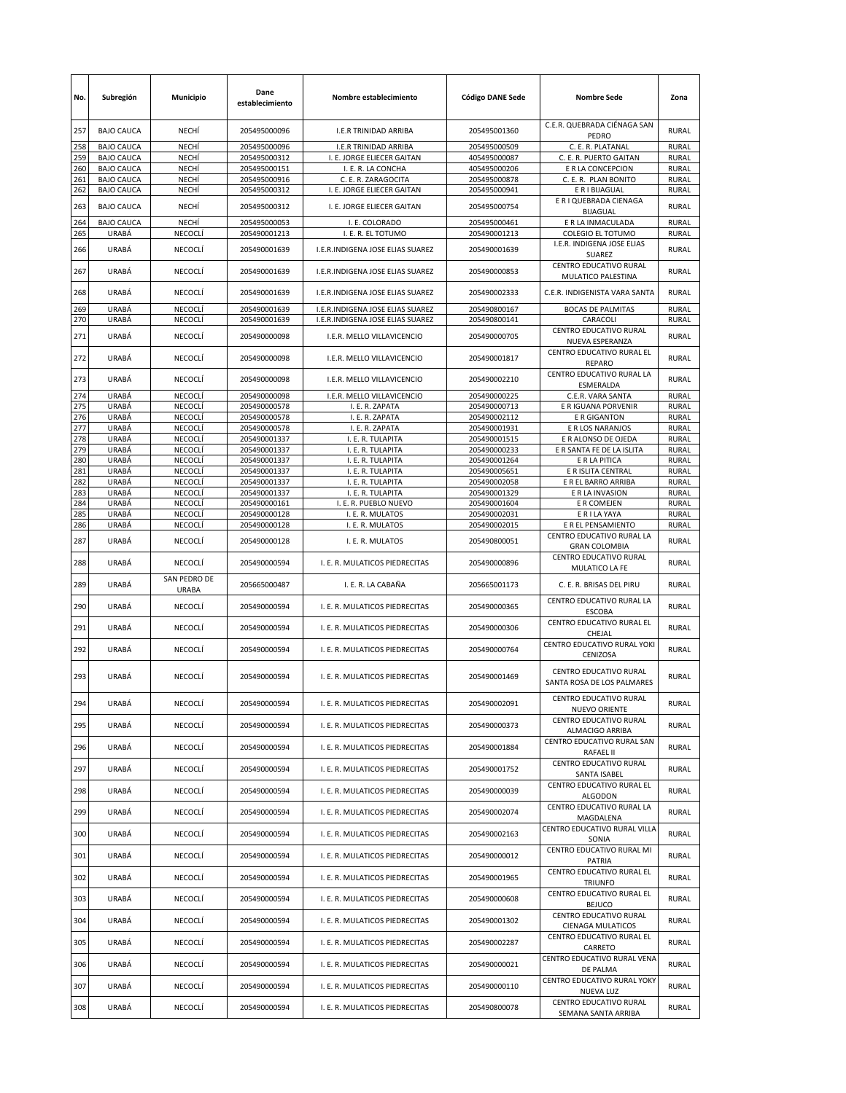| No.        | Subregión                              | Municipio             | Dane<br>establecimiento      | Nombre establecimiento                                               | <b>Código DANE Sede</b>      | <b>Nombre Sede</b>                                                 | Zona                         |
|------------|----------------------------------------|-----------------------|------------------------------|----------------------------------------------------------------------|------------------------------|--------------------------------------------------------------------|------------------------------|
| 257        | <b>BAJO CAUCA</b>                      | NECHÍ                 | 205495000096                 | I.E.R TRINIDAD ARRIBA                                                | 205495001360                 | C.E.R. QUEBRADA CIÉNAGA SAN<br>PEDRO                               | <b>RURAL</b>                 |
| 258        | <b>BAJO CAUCA</b>                      | NECHÍ                 | 205495000096                 | I.E.R TRINIDAD ARRIBA                                                | 205495000509                 | C. E. R. PLATANAL                                                  | <b>RURAL</b>                 |
| 259        | <b>BAJO CAUCA</b>                      | NECHÍ                 | 205495000312                 | I. E. JORGE ELIECER GAITAN                                           | 405495000087                 | C. E. R. PUERTO GAITAN                                             | RURAL                        |
| 260        | <b>BAJO CAUCA</b>                      | NECHÍ                 | 205495000151                 | I. E. R. LA CONCHA                                                   | 405495000206                 | E R LA CONCEPCION                                                  | <b>RURAL</b>                 |
| 261<br>262 | <b>BAJO CAUCA</b><br><b>BAJO CAUCA</b> | <b>NECHI</b><br>NECHÍ | 205495000916<br>205495000312 | C. E. R. ZARAGOCITA<br>I. E. JORGE ELIECER GAITAN                    | 205495000878<br>205495000941 | C. E. R. PLAN BONITO<br>E R I BIJAGUAL                             | <b>RURAL</b><br><b>RURAL</b> |
| 263        | <b>BAJO CAUCA</b>                      | NECHÍ                 | 205495000312                 | I. E. JORGE ELIECER GAITAN                                           | 205495000754                 | E R I QUEBRADA CIENAGA<br><b>BIJAGUAL</b>                          | RURAL                        |
| 264        | <b>BAJO CAUCA</b>                      | NECHÍ                 | 205495000053                 | I. E. COLORADO                                                       | 205495000461                 | E R LA INMACULADA                                                  | RURAL                        |
| 265        | URABÁ                                  | NECOCLÍ               | 205490001213                 | I. E. R. EL TOTUMO                                                   | 205490001213                 | <b>COLEGIO EL TOTUMO</b>                                           | RURAL                        |
| 266        | URABÁ                                  | NECOCLÍ               | 205490001639                 | I.E.R.INDIGENA JOSE ELIAS SUAREZ                                     | 205490001639                 | I.E.R. INDIGENA JOSE ELIAS<br>SUAREZ                               | RURAL                        |
| 267        | URABÁ                                  | NECOCLÍ               | 205490001639                 | I.E.R.INDIGENA JOSE ELIAS SUAREZ                                     | 205490000853                 | CENTRO EDUCATIVO RURAL<br>MULATICO PALESTINA                       | RURAL                        |
| 268<br>269 | URABÁ<br>URABÁ                         | NECOCLÍ<br>NECOCLÍ    | 205490001639<br>205490001639 | I.E.R.INDIGENA JOSE ELIAS SUAREZ<br>I.E.R.INDIGENA JOSE ELIAS SUAREZ | 205490002333<br>205490800167 | C.E.R. INDIGENISTA VARA SANTA<br><b>BOCAS DE PALMITAS</b>          | <b>RURAL</b><br><b>RURAL</b> |
| 270        | URABÁ                                  | NECOCLÍ               | 205490001639                 | I.E.R.INDIGENA JOSE ELIAS SUAREZ                                     | 205490800141                 | CARACOLI                                                           | RURAL                        |
| 271        | URABÁ                                  | NECOCLÍ               | 205490000098                 | I.E.R. MELLO VILLAVICENCIO                                           | 205490000705                 | CENTRO EDUCATIVO RURAL<br>NUEVA ESPERANZA                          | <b>RURAL</b>                 |
| 272        | URABÁ                                  | NECOCLÍ               | 205490000098                 | I.E.R. MELLO VILLAVICENCIO                                           | 205490001817                 | CENTRO EDUCATIVO RURAL EL<br><b>REPARO</b>                         | <b>RURAL</b>                 |
| 273        | URABÁ                                  | NECOCLÍ               | 205490000098                 | I.E.R. MELLO VILLAVICENCIO                                           | 205490002210                 | CENTRO EDUCATIVO RURAL LA<br>ESMERALDA                             | <b>RURAL</b>                 |
| 274        | URABÁ                                  | NECOCLÍ               | 205490000098                 | I.E.R. MELLO VILLAVICENCIO                                           | 205490000225                 | C.E.R. VARA SANTA                                                  | <b>RURAL</b>                 |
| 275        | URABÁ                                  | NECOCLÍ               | 205490000578                 | I. E. R. ZAPATA                                                      | 205490000713                 | E R IGUANA PORVENIR                                                | RURAL                        |
| 276        | URABÁ                                  | NECOCLÍ               | 205490000578                 | I. E. R. ZAPATA                                                      | 205490002112                 | E R GIGANTON                                                       | <b>RURAL</b>                 |
| 277        | URABÁ                                  | NECOCLÍ               | 205490000578                 | I. E. R. ZAPATA                                                      | 205490001931                 | E R LOS NARANJOS                                                   | <b>RURAL</b>                 |
| 278        | URABÁ                                  | NECOCLÍ               | 205490001337                 | I. E. R. TULAPITA                                                    | 205490001515                 | E R ALONSO DE OJEDA<br>E R SANTA FE DE LA ISLITA                   | RURAL                        |
| 279<br>280 | URABÁ                                  | NECOCLÍ               | 205490001337                 | I. E. R. TULAPITA                                                    | 205490000233                 |                                                                    | <b>RURAL</b>                 |
| 281        | URABÁ<br>URABÁ                         | NECOCLÍ<br>NECOCLÍ    | 205490001337<br>205490001337 | I. E. R. TULAPITA<br>I. E. R. TULAPITA                               | 205490001264<br>205490005651 | E R LA PITICA<br>E R ISLITA CENTRAL                                | RURAL<br><b>RURAL</b>        |
| 282        | URABÁ                                  | NECOCLÍ               | 205490001337                 | I. E. R. TULAPITA                                                    | 205490002058                 | E R EL BARRO ARRIBA                                                | <b>RURAL</b>                 |
| 283        | URABÁ                                  | NECOCLÍ               | 205490001337                 | I. E. R. TULAPITA                                                    | 205490001329                 | E R LA INVASION                                                    | <b>RURAL</b>                 |
| 284        | URABÁ                                  | NECOCLÍ               | 205490000161                 | I. E. R. PUEBLO NUEVO                                                | 205490001604                 | E R COMEJEN                                                        | <b>RURAL</b>                 |
| 285        | URABÁ                                  | NECOCLI               | 205490000128                 | I. E. R. MULATOS                                                     | 205490002031                 | E R I LA YAYA                                                      | RURAL                        |
| 286        | URABÁ                                  | NECOCLÍ               | 205490000128                 | I. E. R. MULATOS                                                     | 205490002015                 | E R EL PENSAMIENTO                                                 | RURAL                        |
| 287        | URABÁ                                  | NECOCLÍ               | 205490000128                 | I. E. R. MULATOS                                                     | 205490800051                 | CENTRO EDUCATIVO RURAL LA<br><b>GRAN COLOMBIA</b>                  | <b>RURAL</b>                 |
| 288        | URABÁ                                  | NECOCLÍ               | 205490000594                 | I. E. R. MULATICOS PIEDRECITAS                                       | 205490000896                 | CENTRO EDUCATIVO RURAL<br>MULATICO LA FE                           | <b>RURAL</b>                 |
| 289        | URABÁ                                  | SAN PEDRO DE<br>URABA | 205665000487                 | I. E. R. LA CABAÑA                                                   | 205665001173                 | C. E. R. BRISAS DEL PIRU                                           | <b>RURAL</b>                 |
| 290        | URABÁ                                  | NECOCLÍ               | 205490000594                 | I. E. R. MULATICOS PIEDRECITAS                                       | 205490000365                 | CENTRO EDUCATIVO RURAL LA<br><b>ESCOBA</b>                         | <b>RURAL</b>                 |
| 291        | URABÁ                                  | NECOCLÍ               | 205490000594                 | I. E. R. MULATICOS PIEDRECITAS                                       | 205490000306                 | CENTRO EDUCATIVO RURAL EL<br>CHEJAL<br>CENTRO EDUCATIVO RURAL YOKI | <b>RURAL</b>                 |
| 292        | URABÁ                                  | NECOCLÍ               | 205490000594                 | I. E. R. MULATICOS PIEDRECITAS                                       | 205490000764                 | CENIZOSA                                                           | <b>RURAL</b>                 |
| 293        | <b>URABÁ</b>                           | NECOCLÍ               | 205490000594                 | I. E. R. MULATICOS PIEDRECITAS                                       | 205490001469                 | CENTRO EDUCATIVO RURAL<br>SANTA ROSA DE LOS PALMARES               | <b>RURAL</b>                 |
| 294        | URABÁ                                  | NECOCLÍ               | 205490000594                 | I. E. R. MULATICOS PIEDRECITAS                                       | 205490002091                 | CENTRO EDUCATIVO RURAL<br>NUEVO ORIENTE                            | RURAL                        |
| 295        | URABÁ                                  | NECOCLÍ               | 205490000594                 | I. E. R. MULATICOS PIEDRECITAS                                       | 205490000373                 | CENTRO EDUCATIVO RURAL<br>ALMACIGO ARRIBA                          | RURAL                        |
| 296        | URABÁ                                  | NECOCLÍ               | 205490000594                 | I. E. R. MULATICOS PIEDRECITAS                                       | 205490001884                 | CENTRO EDUCATIVO RURAL SAN<br>RAFAEL II<br>CENTRO EDUCATIVO RURAL  | RURAL                        |
| 297        | URABÁ                                  | NECOCLÍ               | 205490000594                 | I. E. R. MULATICOS PIEDRECITAS                                       | 205490001752                 | SANTA ISABEL<br>CENTRO EDUCATIVO RURAL EL                          | RURAL                        |
| 298        | URABÁ                                  | NECOCLÍ               | 205490000594                 | I. E. R. MULATICOS PIEDRECITAS                                       | 205490000039                 | <b>ALGODON</b><br>CENTRO EDUCATIVO RURAL LA                        | <b>RURAL</b>                 |
| 299        | URABÁ                                  | NECOCLÍ               | 205490000594                 | I. E. R. MULATICOS PIEDRECITAS                                       | 205490002074                 | MAGDALENA<br>CENTRO EDUCATIVO RURAL VILLA                          | RURAL                        |
| 300        | URABÁ                                  | NECOCLÍ               | 205490000594                 | I. E. R. MULATICOS PIEDRECITAS                                       | 205490002163                 | SONIA<br>CENTRO EDUCATIVO RURAL MI                                 | <b>RURAL</b>                 |
| 301        | URABÁ                                  | NECOCLÍ               | 205490000594                 | I. E. R. MULATICOS PIEDRECITAS                                       | 205490000012                 | PATRIA<br>CENTRO EDUCATIVO RURAL EL                                | RURAL                        |
| 302        | URABÁ                                  | NECOCLÍ               | 205490000594                 | I. E. R. MULATICOS PIEDRECITAS                                       | 205490001965                 | <b>TRIUNFO</b><br>CENTRO EDUCATIVO RURAL EL                        | RURAL                        |
| 303        | URABÁ                                  | NECOCLÍ               | 205490000594                 | I. E. R. MULATICOS PIEDRECITAS                                       | 205490000608                 | <b>BEJUCO</b><br>CENTRO EDUCATIVO RURAL                            | RURAL                        |
| 304        | URABÁ                                  | NECOCLÍ               | 205490000594                 | I. E. R. MULATICOS PIEDRECITAS                                       | 205490001302                 | CIENAGA MULATICOS<br>CENTRO EDUCATIVO RURAL EL                     | RURAL                        |
| 305        | URABÁ                                  | NECOCLÍ               | 205490000594                 | I. E. R. MULATICOS PIEDRECITAS                                       | 205490002287                 | CARRETO<br>CENTRO EDUCATIVO RURAL VENA                             | RURAL                        |
| 306        | URABÁ                                  | NECOCLÍ               | 205490000594                 | I. E. R. MULATICOS PIEDRECITAS                                       | 205490000021                 | DE PALMA<br>CENTRO EDUCATIVO RURAL YOKY                            | <b>RURAL</b>                 |
| 307        | URABÁ                                  | NECOCLÍ               | 205490000594                 | I. E. R. MULATICOS PIEDRECITAS                                       | 205490000110                 | NUEVA LUZ<br>CENTRO EDUCATIVO RURAL                                | RURAL                        |
| 308        | URABÁ                                  | NECOCLÍ               | 205490000594                 | I. E. R. MULATICOS PIEDRECITAS                                       | 205490800078                 | SEMANA SANTA ARRIBA                                                | RURAL                        |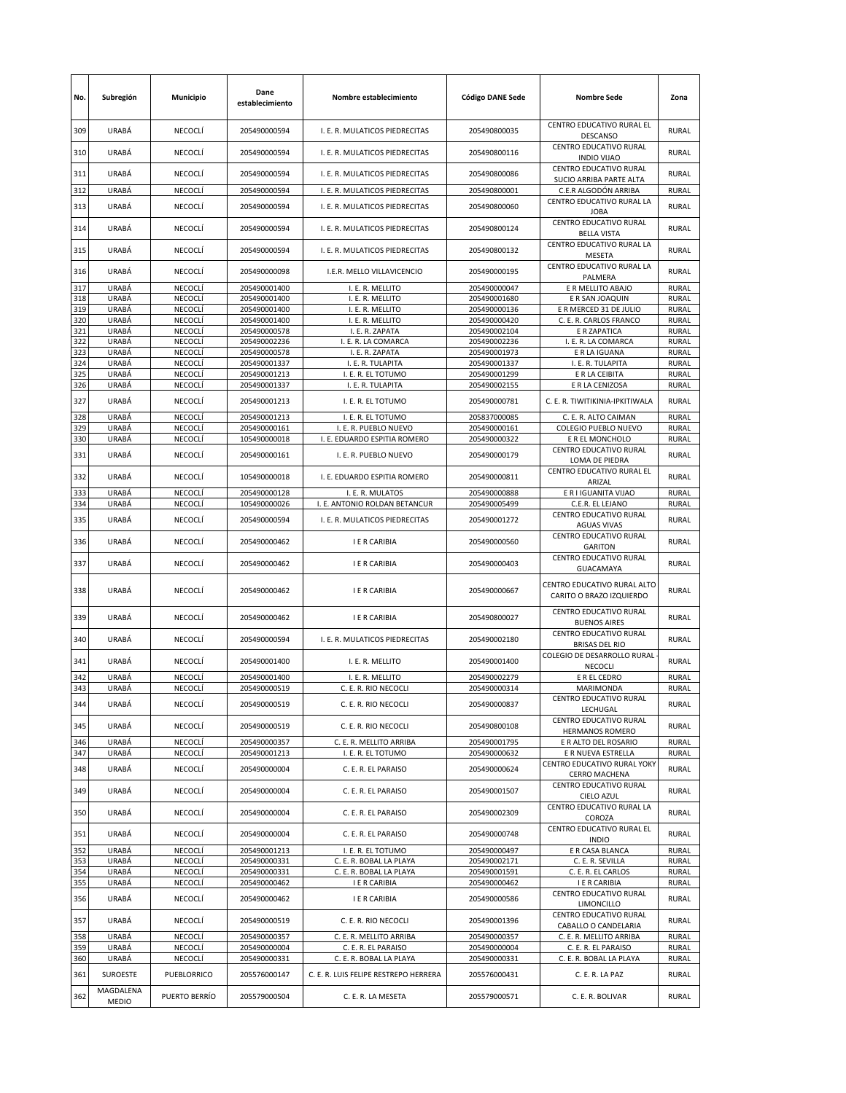| No.        | Subregión                 | Municipio          | Dane<br>establecimiento      | Nombre establecimiento                                           | <b>Código DANE Sede</b>      | <b>Nombre Sede</b>                                      | Zona                         |
|------------|---------------------------|--------------------|------------------------------|------------------------------------------------------------------|------------------------------|---------------------------------------------------------|------------------------------|
| 309        | URABÁ                     | NECOCLÍ            | 205490000594                 | I. E. R. MULATICOS PIEDRECITAS                                   | 205490800035                 | CENTRO EDUCATIVO RURAL EL<br><b>DESCANSO</b>            | <b>RURAL</b>                 |
| 310        | URABÁ                     | NECOCLÍ            | 205490000594                 | I. E. R. MULATICOS PIEDRECITAS                                   | 205490800116                 | CENTRO EDUCATIVO RURAL<br><b>INDIO VIJAO</b>            | <b>RURAL</b>                 |
| 311        | URABÁ                     | <b>NECOCLÍ</b>     | 205490000594                 | I. E. R. MULATICOS PIEDRECITAS                                   | 205490800086                 | CENTRO EDUCATIVO RURAL<br>SUCIO ARRIBA PARTE ALTA       | <b>RURAL</b>                 |
| 312        | URABÁ                     | NECOCLÍ            | 205490000594                 | I. E. R. MULATICOS PIEDRECITAS                                   | 205490800001                 | C.E.R ALGODÓN ARRIBA<br>CENTRO EDUCATIVO RURAL LA       | RURAL                        |
| 313<br>314 | URABÁ<br>URABÁ            | NECOCLÍ<br>NECOCLÍ | 205490000594<br>205490000594 | I. E. R. MULATICOS PIEDRECITAS<br>I. E. R. MULATICOS PIEDRECITAS | 205490800060<br>205490800124 | <b>JOBA</b><br>CENTRO EDUCATIVO RURAL                   | <b>RURAL</b><br><b>RURAL</b> |
| 315        | <b>URABÁ</b>              | <b>NECOCLI</b>     | 205490000594                 | I. E. R. MULATICOS PIEDRECITAS                                   | 205490800132                 | <b>BELLA VISTA</b><br>CENTRO EDUCATIVO RURAL LA         | <b>RURAL</b>                 |
| 316        | URABÁ                     | NECOCLÍ            | 205490000098                 | I.E.R. MELLO VILLAVICENCIO                                       | 205490000195                 | MESETA<br>CENTRO EDUCATIVO RURAL LA                     | <b>RURAL</b>                 |
| 317        | URABÁ                     | NECOCLÍ            | 205490001400                 | I. E. R. MELLITO                                                 | 205490000047                 | PALMERA<br>E R MELLITO ABAJO                            | <b>RURAL</b>                 |
| 318        | URABÁ                     | NECOCLÍ            | 205490001400                 | I. E. R. MELLITO                                                 | 205490001680                 | E R SAN JOAQUIN                                         | <b>RURAL</b>                 |
| 319        | URABÁ                     | NECOCLÍ            | 205490001400                 | I. E. R. MELLITO                                                 | 205490000136                 | E R MERCED 31 DE JULIO                                  | <b>RURAL</b>                 |
| 320        | URABÁ                     | NECOCLÍ            | 205490001400                 | I. E. R. MELLITO                                                 | 205490000420                 | C. E. R. CARLOS FRANCO                                  | RURAL                        |
| 321        | URABÁ                     | NECOCLÍ            | 205490000578                 | I. E. R. ZAPATA                                                  | 205490002104                 | E R ZAPATICA                                            | RURAL                        |
| 322        | URABÁ                     | NECOCLI            | 205490002236                 | I. E. R. LA COMARCA                                              | 205490002236                 | I. E. R. LA COMARCA                                     | <b>RURAL</b>                 |
| 323        | URABÁ                     | NECOCLÍ            | 205490000578                 | I. E. R. ZAPATA                                                  | 205490001973                 | E R LA IGUANA                                           | RURAL                        |
| 324<br>325 | URABÁ<br>URABÁ            | NECOCLÍ<br>NECOCLÍ | 205490001337<br>205490001213 | I. E. R. TULAPITA<br>I. E. R. EL TOTUMO                          | 205490001337<br>205490001299 | I. E. R. TULAPITA<br>E R LA CEIBITA                     | RURAL<br>RURAL               |
| 326        | URABÁ                     | NECOCLÍ            | 205490001337                 | I. E. R. TULAPITA                                                | 205490002155                 | E R LA CENIZOSA                                         | RURAL                        |
| 327        | URABÁ                     | NECOCLÍ            | 205490001213                 | I. E. R. EL TOTUMO                                               | 205490000781                 | C. E. R. TIWITIKINIA-IPKITIWALA                         | <b>RURAL</b>                 |
| 328        | URABÁ                     | NECOCLÍ            | 205490001213                 | I. E. R. EL TOTUMO                                               | 205837000085                 | C. E. R. ALTO CAIMAN                                    | RURAL                        |
| 329        | URABÁ                     | NECOCLI            | 205490000161                 | I. E. R. PUEBLO NUEVO                                            | 205490000161                 | COLEGIO PUEBLO NUEVO                                    | RURAL                        |
| 330        | URABÁ                     | NECOCLÍ            | 105490000018                 | I. E. EDUARDO ESPITIA ROMERO                                     | 205490000322                 | E R EL MONCHOLO                                         | RURAL                        |
| 331        | URABÁ                     | NECOCLÍ            | 205490000161                 | I. E. R. PUEBLO NUEVO                                            | 205490000179                 | CENTRO EDUCATIVO RURAL<br>LOMA DE PIEDRA                | <b>RURAL</b>                 |
| 332        | URABÁ                     | NECOCLÍ            | 105490000018                 | I. E. EDUARDO ESPITIA ROMERO                                     | 205490000811                 | CENTRO EDUCATIVO RURAL EL<br>ARIZAL                     | <b>RURAL</b>                 |
| 333        | URABÁ                     | NECOCLÍ            | 205490000128                 | I. E. R. MULATOS                                                 | 205490000888                 | E R I IGUANITA VIJAO                                    | <b>RURAL</b>                 |
| 334        | URABÁ                     | NECOCLÍ            | 105490000026                 | I. E. ANTONIO ROLDAN BETANCUR                                    | 205490005499                 | C.E.R. EL LEJANO                                        | RURAL                        |
| 335        | URABÁ                     | NECOCLÍ            | 205490000594                 | I. E. R. MULATICOS PIEDRECITAS                                   | 205490001272                 | CENTRO EDUCATIVO RURAL<br><b>AGUAS VIVAS</b>            | <b>RURAL</b>                 |
| 336        | URABÁ                     | NECOCLÍ            | 205490000462                 | I E R CARIBIA                                                    | 205490000560                 | CENTRO EDUCATIVO RURAL<br><b>GARITON</b>                | <b>RURAL</b>                 |
| 337        | URABÁ                     | NECOCLÍ            | 205490000462                 | I E R CARIBIA                                                    | 205490000403                 | CENTRO EDUCATIVO RURAL<br><b>GUACAMAYA</b>              | <b>RURAL</b>                 |
| 338        | URABÁ                     | NECOCLÍ            | 205490000462                 | <b>I E R CARIBIA</b>                                             | 205490000667                 | CENTRO EDUCATIVO RURAL ALTO<br>CARITO O BRAZO IZQUIERDO | <b>RURAL</b>                 |
| 339        | URABÁ                     | NECOCLÍ            | 205490000462                 | I E R CARIBIA                                                    | 205490800027                 | CENTRO EDUCATIVO RURAL<br><b>BUENOS AIRES</b>           | <b>RURAL</b>                 |
| 340        | URABÁ                     | NECOCLÍ            | 205490000594                 | I. E. R. MULATICOS PIEDRECITAS                                   | 205490002180                 | CENTRO EDUCATIVO RURAL<br><b>BRISAS DEL RIO</b>         | <b>RURAL</b>                 |
| 341        | URABÁ                     | NECOCLÍ            | 205490001400                 | I. E. R. MELLITO                                                 | 205490001400                 | COLEGIO DE DESARROLLO RURAL<br><b>NECOCLI</b>           | <b>RURAL</b>                 |
| 342        | URABÁ                     | NECOCLÍ            | 205490001400                 | I. E. R. MELLITO<br>C. E. R. RIO NECOCLI                         | 205490002279                 | E R EL CEDRO                                            | <b>RURAL</b>                 |
| 343        | URABÁ                     | NECOCLÍ            | 205490000519                 |                                                                  | 205490000314                 | MARIMONDA<br>CENTRO EDUCATIVO RURAL                     | RURAL                        |
| 344        | URABÁ                     | NECOCLÍ            | 205490000519                 | C. E. R. RIO NECOCLI                                             | 205490000837                 | LECHUGAL<br>CENTRO EDUCATIVO RURAL                      | <b>RURAL</b>                 |
| 345        | URABÁ                     | NECOCLÍ<br>NECOCLÍ | 205490000519                 | C. E. R. RIO NECOCLI                                             | 205490800108                 | <b>HERMANOS ROMERO</b>                                  | <b>RURAL</b><br><b>RURAL</b> |
| 346<br>347 | URABÁ<br>URABÁ            | NECOCLÍ            | 205490000357<br>205490001213 | C. E. R. MELLITO ARRIBA<br>I. E. R. EL TOTUMO                    | 205490001795<br>205490000632 | E R ALTO DEL ROSARIO<br>E R NUEVA ESTRELLA              | RURAL                        |
| 348        | URABÁ                     | NECOCLÍ            | 205490000004                 | C. E. R. EL PARAISO                                              | 205490000624                 | CENTRO EDUCATIVO RURAL YOKY<br><b>CERRO MACHENA</b>     | <b>RURAL</b>                 |
| 349        | URABÁ                     | NECOCLÍ            | 205490000004                 | C. E. R. EL PARAISO                                              | 205490001507                 | CENTRO EDUCATIVO RURAL<br>CIELO AZUL                    | RURAL                        |
| 350        | URABÁ                     | NECOCLÍ            | 205490000004                 | C. E. R. EL PARAISO                                              | 205490002309                 | CENTRO EDUCATIVO RURAL LA<br>COROZA                     | <b>RURAL</b>                 |
| 351        | URABÁ                     | NECOCLÍ            | 205490000004                 | C. E. R. EL PARAISO                                              | 205490000748                 | CENTRO EDUCATIVO RURAL EL<br><b>INDIO</b>               | <b>RURAL</b>                 |
| 352        | URABÁ                     | NECOCLÍ            | 205490001213                 | I. E. R. EL TOTUMO                                               | 205490000497                 | E R CASA BLANCA                                         | <b>RURAL</b>                 |
| 353        | URABÁ                     | NECOCLÍ            | 205490000331                 | C. E. R. BOBAL LA PLAYA                                          | 205490002171                 | C. E. R. SEVILLA                                        | <b>RURAL</b>                 |
| 354        | URABÁ                     | NECOCLÍ            | 205490000331                 | C. E. R. BOBAL LA PLAYA                                          | 205490001591                 | C. E. R. EL CARLOS                                      | RURAL                        |
| 355        | URABÁ                     | NECOCLÍ            | 205490000462                 | I E R CARIBIA                                                    | 205490000462                 | I E R CARIBIA                                           | <b>RURAL</b>                 |
| 356        | URABÁ                     | NECOCLÍ            | 205490000462                 | I E R CARIBIA                                                    | 205490000586                 | CENTRO EDUCATIVO RURAL<br>LIMONCILLO                    | <b>RURAL</b>                 |
| 357        | <b>URABÁ</b>              | NECOCLÍ            | 205490000519                 | C. E. R. RIO NECOCLI                                             | 205490001396                 | CENTRO EDUCATIVO RURAL<br>CABALLO O CANDELARIA          | <b>RURAL</b>                 |
| 358        | URABÁ                     | NECOCLÍ            | 205490000357                 | C. E. R. MELLITO ARRIBA                                          | 205490000357                 | C. E. R. MELLITO ARRIBA                                 | RURAL                        |
| 359        | URABÁ                     | NECOCLÍ            | 205490000004                 | C. E. R. EL PARAISO                                              | 205490000004                 | C. E. R. EL PARAISO                                     | RURAL                        |
| 360        | URABÁ                     | NECOCLÍ            | 205490000331                 | C. E. R. BOBAL LA PLAYA                                          | 205490000331                 | C. E. R. BOBAL LA PLAYA                                 | <b>RURAL</b>                 |
| 361        | <b>SUROESTE</b>           | PUEBLORRICO        | 205576000147                 | C. E. R. LUIS FELIPE RESTREPO HERRERA                            | 205576000431                 | C. E. R. LA PAZ                                         | <b>RURAL</b>                 |
| 362        | MAGDALENA<br><b>MEDIO</b> | PUERTO BERRÍO      | 205579000504                 | C. E. R. LA MESETA                                               | 205579000571                 | C. E. R. BOLIVAR                                        | RURAL                        |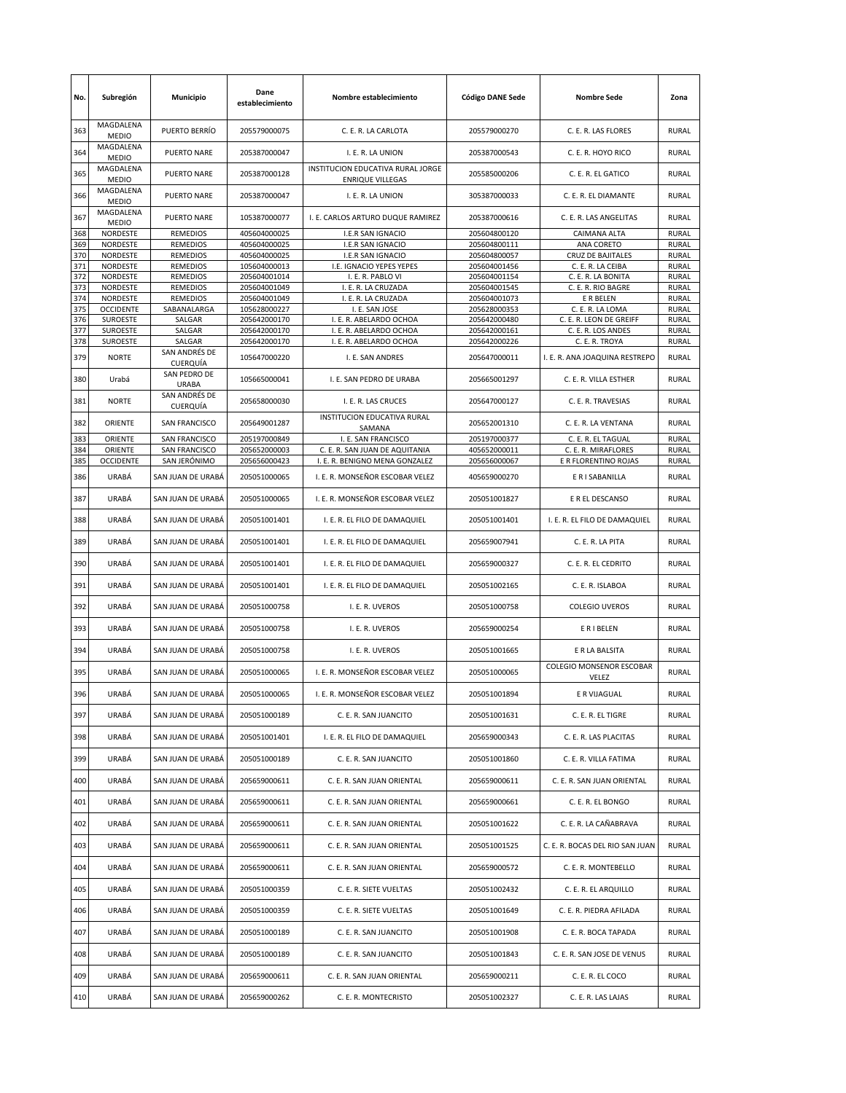| No. | Subregión                 | Municipio                    | Dane<br>establecimiento | Nombre establecimiento                                       | <b>Código DANE Sede</b> | <b>Nombre Sede</b>                | Zona         |
|-----|---------------------------|------------------------------|-------------------------|--------------------------------------------------------------|-------------------------|-----------------------------------|--------------|
| 363 | MAGDALENA<br><b>MEDIO</b> | PUERTO BERRÍO                | 205579000075            | C. E. R. LA CARLOTA                                          | 205579000270            | C. E. R. LAS FLORES               | <b>RURAL</b> |
| 364 | MAGDALENA<br><b>MEDIO</b> | <b>PUERTO NARE</b>           | 205387000047            | I. E. R. LA UNION                                            | 205387000543            | C. E. R. HOYO RICO                | RURAL        |
| 365 | MAGDALENA<br><b>MEDIO</b> | PUERTO NARE                  | 205387000128            | INSTITUCION EDUCATIVA RURAL JORGE<br><b>ENRIQUE VILLEGAS</b> | 205585000206            | C. E. R. EL GATICO                | <b>RURAL</b> |
| 366 | MAGDALENA<br><b>MEDIO</b> | <b>PUERTO NARE</b>           | 205387000047            | I. E. R. LA UNION                                            | 305387000033            | C. E. R. EL DIAMANTE              | <b>RURAL</b> |
| 367 | MAGDALENA<br><b>MEDIO</b> | <b>PUERTO NARE</b>           | 105387000077            | I. E. CARLOS ARTURO DUQUE RAMIREZ                            | 205387000616            | C. E. R. LAS ANGELITAS            | RURAL        |
| 368 | NORDESTE                  | <b>REMEDIOS</b>              | 405604000025            | I.E.R SAN IGNACIO                                            | 205604800120            | CAIMANA ALTA                      | <b>RURAL</b> |
| 369 | NORDESTE                  | <b>REMEDIOS</b>              | 405604000025            | I.E.R SAN IGNACIO                                            | 205604800111            | ANA CORETO                        | <b>RURAL</b> |
| 370 | NORDESTE                  | <b>REMEDIOS</b>              | 405604000025            | I.E.R SAN IGNACIO                                            | 205604800057            | <b>CRUZ DE BAJITALES</b>          | <b>RURAL</b> |
| 371 | NORDESTE                  | <b>REMEDIOS</b>              | 105604000013            | I.E. IGNACIO YEPES YEPES                                     | 205604001456            | C. E. R. LA CEIBA                 | RURAL        |
| 372 | NORDESTE                  | <b>REMEDIOS</b>              | 205604001014            | I. E. R. PABLO VI                                            | 205604001154            | C. E. R. LA BONITA                | <b>RURAL</b> |
| 373 | NORDESTE                  | <b>REMEDIOS</b>              | 205604001049            | I. E. R. LA CRUZADA                                          | 205604001545            | C. E. R. RIO BAGRE                | RURAL        |
| 374 | NORDESTE                  | <b>REMEDIOS</b>              | 205604001049            | I. E. R. LA CRUZADA                                          | 205604001073            | E R BELEN                         | <b>RURAL</b> |
| 375 | <b>OCCIDENTE</b>          | SABANALARGA                  | 105628000227            | I. E. SAN JOSE                                               | 205628000353            | C. E. R. LA LOMA                  | RURAL        |
| 376 | SUROESTE                  | SALGAR                       | 205642000170            | I. E. R. ABELARDO OCHOA                                      | 205642000480            | C. E. R. LEON DE GREIFF           | RURAL        |
|     |                           |                              |                         |                                                              |                         |                                   |              |
| 377 | SUROESTE                  | SALGAR                       | 205642000170            | I. E. R. ABELARDO OCHOA                                      | 205642000161            | C. E. R. LOS ANDES                | RURAL        |
| 378 | <b>SUROESTE</b>           | SALGAR                       | 205642000170            | I. E. R. ABELARDO OCHOA                                      | 205642000226            | C. E. R. TROYA                    | RURAL        |
| 379 | <b>NORTE</b>              | SAN ANDRÉS DE<br>CUERQUÍA    | 105647000220            | I. E. SAN ANDRES                                             | 205647000011            | I. E. R. ANA JOAQUINA RESTREPO    | RURAL        |
| 380 | Urabá                     | SAN PEDRO DE<br><b>URABA</b> | 105665000041            | I. E. SAN PEDRO DE URABA                                     | 205665001297            | C. E. R. VILLA ESTHER             | RURAL        |
| 381 | <b>NORTE</b>              | SAN ANDRÉS DE<br>CUERQUÍA    | 205658000030            | I. E. R. LAS CRUCES                                          | 205647000127            | C. E. R. TRAVESIAS                | RURAL        |
| 382 | ORIENTE                   | SAN FRANCISCO                | 205649001287            | INSTITUCION EDUCATIVA RURAL<br>SAMANA                        | 205652001310            | C. E. R. LA VENTANA               | <b>RURAL</b> |
| 383 | ORIENTE                   | SAN FRANCISCO                | 205197000849            | I. E. SAN FRANCISCO                                          | 205197000377            | C. E. R. EL TAGUAL                | <b>RURAL</b> |
| 384 | ORIENTE                   | SAN FRANCISCO                | 205652000003            | C. E. R. SAN JUAN DE AQUITANIA                               | 405652000011            | C. E. R. MIRAFLORES               | <b>RURAL</b> |
| 385 | <b>OCCIDENTE</b>          | SAN JERÓNIMO                 | 205656000423            | I. E. R. BENIGNO MENA GONZALEZ                               | 205656000067            | E R FLORENTINO ROJAS              | RURAL        |
| 386 | URABÁ                     | SAN JUAN DE URABÁ            | 205051000065            | I. E. R. MONSEÑOR ESCOBAR VELEZ                              | 405659000270            | E R I SABANILLA                   | <b>RURAL</b> |
| 387 | URABÁ                     | SAN JUAN DE URABÁ            | 205051000065            | I. E. R. MONSEÑOR ESCOBAR VELEZ                              | 205051001827            | E R EL DESCANSO                   | <b>RURAL</b> |
| 388 | <b>URABÁ</b>              | SAN JUAN DE URABÁ            | 205051001401            | I. E. R. EL FILO DE DAMAQUIEL                                | 205051001401            | I. E. R. EL FILO DE DAMAQUIEL     | RURAL        |
| 389 | URABÁ                     | SAN JUAN DE URABÁ            | 205051001401            | I. E. R. EL FILO DE DAMAQUIEL                                | 205659007941            | C. E. R. LA PITA                  | RURAL        |
| 390 | <b>URABÁ</b>              | SAN JUAN DE URABA            | 205051001401            | I. E. R. EL FILO DE DAMAQUIEL                                | 205659000327            | C. E. R. EL CEDRITO               | <b>RURAL</b> |
| 391 | URABÁ                     | SAN JUAN DE URABÁ            | 205051001401            | I. E. R. EL FILO DE DAMAQUIEL                                | 205051002165            | C. E. R. ISLABOA                  | RURAL        |
| 392 | URABÁ                     | SAN JUAN DE URABÁ            | 205051000758            | I. E. R. UVEROS                                              | 205051000758            | <b>COLEGIO UVEROS</b>             | RURAL        |
| 393 | <b>URABÁ</b>              | SAN JUAN DE URABÁ            | 205051000758            | I. E. R. UVEROS                                              | 205659000254            | <b>E R I BELEN</b>                | RURAL        |
| 394 | URABÁ                     | SAN JUAN DE URABÁ            | 205051000758            | I. E. R. UVEROS                                              | 205051001665            | E R LA BALSITA                    | <b>RURAL</b> |
| 395 | <b>URABÁ</b>              | SAN JUAN DE URABÁ            | 205051000065            | I. E. R. MONSEÑOR ESCOBAR VELEZ                              | 205051000065            | COLEGIO MONSENOR ESCOBAR<br>VELEZ | <b>RURAL</b> |
| 396 | URABÁ                     | SAN JUAN DE URABÁ            | 205051000065            | I. E. R. MONSEÑOR ESCOBAR VELEZ                              | 205051001894            | E R VIJAGUAL                      | <b>RURAL</b> |
| 397 | URABÁ                     | SAN JUAN DE URABÁ            | 205051000189            | C. E. R. SAN JUANCITO                                        | 205051001631            | C. E. R. EL TIGRE                 | RURAL        |
| 398 | URABÁ                     | SAN JUAN DE URABÁ            | 205051001401            | I. E. R. EL FILO DE DAMAQUIEL                                | 205659000343            | C. E. R. LAS PLACITAS             | RURAL        |
| 399 | URABÁ                     | SAN JUAN DE URABÁ            | 205051000189            | C. E. R. SAN JUANCITO                                        | 205051001860            | C. E. R. VILLA FATIMA             | RURAL        |
| 400 | URABÁ                     | SAN JUAN DE URABÁ            | 205659000611            | C. E. R. SAN JUAN ORIENTAL                                   | 205659000611            | C. E. R. SAN JUAN ORIENTAL        | RURAL        |
| 401 | URABÁ                     | SAN JUAN DE URABÁ            | 205659000611            | C. E. R. SAN JUAN ORIENTAL                                   | 205659000661            | C. E. R. EL BONGO                 | RURAL        |
| 402 | URABÁ                     | SAN JUAN DE URABÁ            | 205659000611            | C. E. R. SAN JUAN ORIENTAL                                   | 205051001622            | C. E. R. LA CAÑABRAVA             | RURAL        |
| 403 | URABÁ                     | SAN JUAN DE URABÁ            | 205659000611            | C. E. R. SAN JUAN ORIENTAL                                   | 205051001525            | C. E. R. BOCAS DEL RIO SAN JUAN   | RURAL        |
| 404 | URABÁ                     | SAN JUAN DE URABÁ            | 205659000611            | C. E. R. SAN JUAN ORIENTAL                                   | 205659000572            | C. E. R. MONTEBELLO               | RURAL        |
| 405 | URABÁ                     | SAN JUAN DE URABÁ            | 205051000359            | C. E. R. SIETE VUELTAS                                       | 205051002432            | C. E. R. EL ARQUILLO              | RURAL        |
| 406 | URABÁ                     | SAN JUAN DE URABÁ            | 205051000359            | C. E. R. SIETE VUELTAS                                       | 205051001649            | C. E. R. PIEDRA AFILADA           | RURAL        |
| 407 | URABÁ                     | SAN JUAN DE URABÁ            | 205051000189            | C. E. R. SAN JUANCITO                                        | 205051001908            | C. E. R. BOCA TAPADA              | RURAL        |
| 408 | URABÁ                     | SAN JUAN DE URABÁ            | 205051000189            | C. E. R. SAN JUANCITO                                        | 205051001843            | C. E. R. SAN JOSE DE VENUS        | RURAL        |
| 409 | URABÁ                     | SAN JUAN DE URABÁ            | 205659000611            | C. E. R. SAN JUAN ORIENTAL                                   | 205659000211            | C. E. R. EL COCO                  | RURAL        |
| 410 | URABÁ                     | SAN JUAN DE URABÁ            | 205659000262            | C. E. R. MONTECRISTO                                         | 205051002327            | C. E. R. LAS LAJAS                | RURAL        |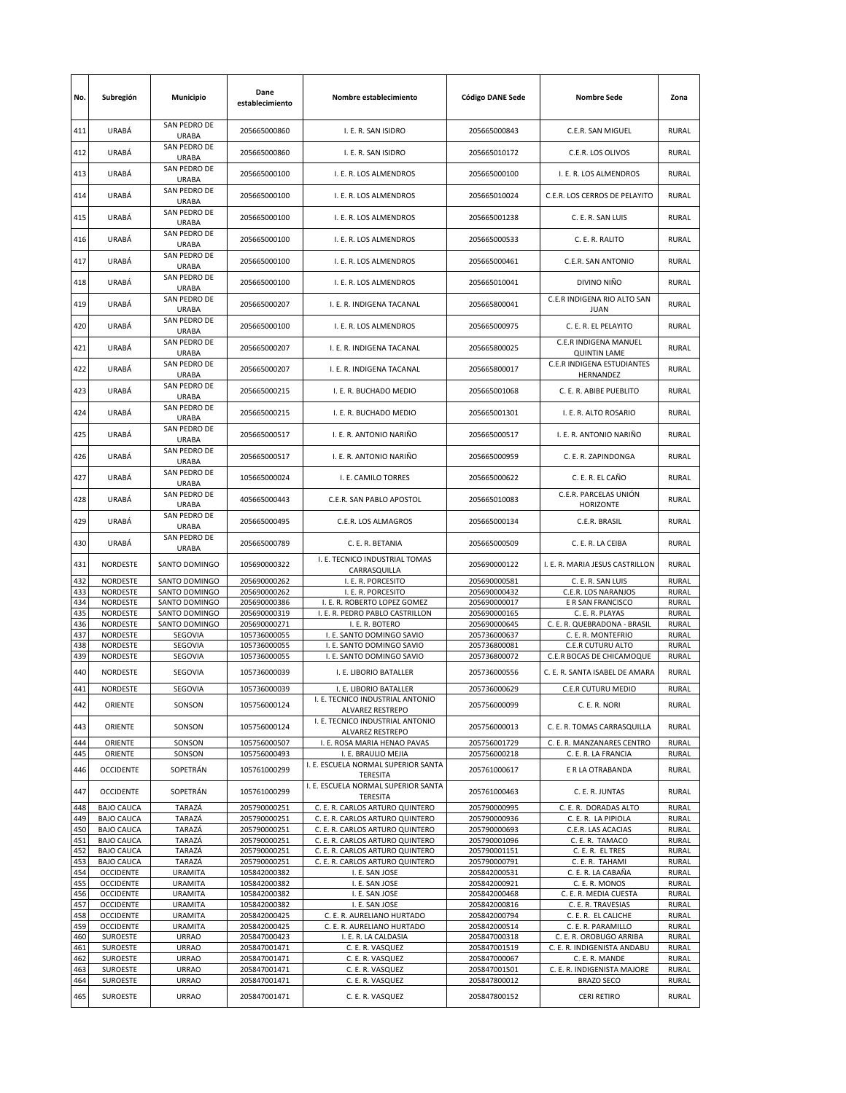| No.        | Subregión                   | Municipio                      | Dane<br>establecimiento      | Nombre establecimiento                                     | <b>Código DANE Sede</b>      | <b>Nombre Sede</b>                           | Zona                         |
|------------|-----------------------------|--------------------------------|------------------------------|------------------------------------------------------------|------------------------------|----------------------------------------------|------------------------------|
| 411        | URABÁ                       | SAN PEDRO DE<br>URABA          | 205665000860                 | I. E. R. SAN ISIDRO                                        | 205665000843                 | C.E.R. SAN MIGUEL                            | <b>RURAL</b>                 |
| 412        | URABÁ                       | SAN PEDRO DE<br>URABA          | 205665000860                 | I. E. R. SAN ISIDRO                                        | 205665010172                 | C.E.R. LOS OLIVOS                            | <b>RURAL</b>                 |
| 413        | URABÁ                       | SAN PEDRO DE<br>URABA          | 205665000100                 | I. E. R. LOS ALMENDROS                                     | 205665000100                 | I. E. R. LOS ALMENDROS                       | <b>RURAL</b>                 |
| 414        | URABÁ                       | SAN PEDRO DE<br><b>URABA</b>   | 205665000100                 | I. E. R. LOS ALMENDROS                                     | 205665010024                 | C.E.R. LOS CERROS DE PELAYITO                | <b>RURAL</b>                 |
| 415        | URABÁ                       | SAN PEDRO DE<br>URABA          | 205665000100                 | I. E. R. LOS ALMENDROS                                     | 205665001238                 | C. E. R. SAN LUIS                            | <b>RURAL</b>                 |
| 416        | URABÁ                       | SAN PEDRO DE<br>URABA          | 205665000100                 | I. E. R. LOS ALMENDROS                                     | 205665000533                 | C. E. R. RALITO                              | <b>RURAL</b>                 |
| 417        | URABÁ                       | SAN PEDRO DE<br>URABA          | 205665000100                 | I. E. R. LOS ALMENDROS                                     | 205665000461                 | C.E.R. SAN ANTONIO                           | <b>RURAL</b>                 |
| 418        | URABÁ                       | SAN PEDRO DE<br><b>URABA</b>   | 205665000100                 | I. E. R. LOS ALMENDROS                                     | 205665010041                 | DIVINO NIÑO                                  | <b>RURAL</b>                 |
| 419        | <b>URABÁ</b>                | SAN PEDRO DE<br><b>URABA</b>   | 205665000207                 | I. E. R. INDIGENA TACANAL                                  | 205665800041                 | C.E.R INDIGENA RIO ALTO SAN<br><b>JUAN</b>   | <b>RURAL</b>                 |
| 420        | URABÁ                       | SAN PEDRO DE<br>URABA          | 205665000100                 | I. E. R. LOS ALMENDROS                                     | 205665000975                 | C. E. R. EL PELAYITO                         | <b>RURAL</b>                 |
| 421        | URABÁ                       | SAN PEDRO DE<br><b>URABA</b>   | 205665000207                 | I. E. R. INDIGENA TACANAL                                  | 205665800025                 | C.E.R INDIGENA MANUEL<br><b>QUINTIN LAME</b> | <b>RURAL</b>                 |
| 422        | URABÁ                       | SAN PEDRO DE<br><b>URABA</b>   | 205665000207                 | I. E. R. INDIGENA TACANAL                                  | 205665800017                 | C.E.R INDIGENA ESTUDIANTES<br>HERNANDEZ      | <b>RURAL</b>                 |
| 423        | <b>URABÁ</b>                | SAN PEDRO DE<br><b>URABA</b>   | 205665000215                 | I. E. R. BUCHADO MEDIO                                     | 205665001068                 | C. E. R. ABIBE PUEBLITO                      | <b>RURAL</b>                 |
| 424        | <b>URABÁ</b>                | SAN PEDRO DE<br>URABA          | 205665000215                 | I. E. R. BUCHADO MEDIO                                     | 205665001301                 | I. E. R. ALTO ROSARIO                        | <b>RURAL</b>                 |
| 425        | URABÁ                       | SAN PEDRO DE<br><b>URABA</b>   | 205665000517                 | I. E. R. ANTONIO NARIÑO                                    | 205665000517                 | I. E. R. ANTONIO NARIÑO                      | <b>RURAL</b>                 |
| 426        | URABÁ                       | SAN PEDRO DE<br><b>URABA</b>   | 205665000517                 | I. E. R. ANTONIO NARIÑO                                    | 205665000959                 | C. E. R. ZAPINDONGA                          | <b>RURAL</b>                 |
| 427        | URABÁ                       | SAN PEDRO DE<br><b>URABA</b>   | 105665000024                 | I. E. CAMILO TORRES                                        | 205665000622                 | C. E. R. EL CAÑO                             | <b>RURAL</b>                 |
| 428        | URABÁ                       | SAN PEDRO DE<br><b>URABA</b>   | 405665000443                 | C.E.R. SAN PABLO APOSTOL                                   | 205665010083                 | C.E.R. PARCELAS UNIÓN<br><b>HORIZONTE</b>    | <b>RURAL</b>                 |
| 429        | URABÁ                       | SAN PEDRO DE<br>URABA          | 205665000495                 | C.E.R. LOS ALMAGROS                                        | 205665000134                 | C.E.R. BRASIL                                | RURAL                        |
| 430        | URABÁ                       | SAN PEDRO DE<br>URABA          | 205665000789                 | C. E. R. BETANIA                                           | 205665000509                 | C. E. R. LA CEIBA                            | <b>RURAL</b>                 |
| 431        | <b>NORDESTE</b>             | SANTO DOMINGO                  | 105690000322                 | I. E. TECNICO INDUSTRIAL TOMAS<br>CARRASQUILLA             | 205690000122                 | I. E. R. MARIA JESUS CASTRILLON              | <b>RURAL</b>                 |
| 432        | NORDESTE                    | SANTO DOMINGO                  | 205690000262                 | I. E. R. PORCESITO                                         | 205690000581                 | C. E. R. SAN LUIS                            | <b>RURAL</b>                 |
| 433<br>434 | NORDESTE<br>NORDESTE        | SANTO DOMINGO<br>SANTO DOMINGO | 205690000262<br>205690000386 | I. E. R. PORCESITO<br>I. E. R. ROBERTO LOPEZ GOMEZ         | 205690000432<br>205690000017 | C.E.R. LOS NARANJOS<br>E R SAN FRANCISCO     | <b>RURAL</b><br><b>RURAL</b> |
| 435        | NORDESTE                    | SANTO DOMINGO                  | 205690000319                 | I. E. R. PEDRO PABLO CASTRILLON                            | 205690000165                 | C. E. R. PLAYAS                              | RURAL                        |
| 436        | NORDESTE                    | SANTO DOMINGO                  | 205690000271                 | I. E. R. BOTERO                                            | 205690000645                 | C. E. R. QUEBRADONA - BRASIL                 | <b>RURAL</b>                 |
| 437        | NORDESTE                    | SEGOVIA                        | 105736000055                 | I. E. SANTO DOMINGO SAVIO                                  | 205736000637                 | C. E. R. MONTEFRIO                           | <b>RURAL</b>                 |
| 438        | NORDESTE                    | SEGOVIA                        | 105736000055                 | I. E. SANTO DOMINGO SAVIO                                  | 205736800081                 | C.E.R CUTURU ALTO                            | <b>RURAL</b>                 |
| 439        | NORDESTE                    | SEGOVIA                        | 105736000055                 | I. E. SANTO DOMINGO SAVIO                                  | 205736800072                 | C.E.R BOCAS DE CHICAMOQUE                    | <b>RURAL</b>                 |
| 440        | NORDESTE                    | SEGOVIA                        | 105736000039                 | I. E. LIBORIO BATALLER                                     | 205736000556                 | C. E. R. SANTA ISABEL DE AMARA               | RURAL                        |
| 441        | NORDESTE                    | SEGOVIA                        | 105736000039                 | I. E. LIBORIO BATALLER                                     | 205736000629                 | C.E.R CUTURU MEDIO                           | <b>RURAL</b>                 |
| 442        | ORIENTE                     | SONSON                         | 105756000124                 | I. E. TECNICO INDUSTRIAL ANTONIO<br>ALVAREZ RESTREPO       | 205756000099                 | C. E. R. NORI                                | RURAL                        |
| 443        | ORIENTE                     | SONSON                         | 105756000124                 | I. E. TECNICO INDUSTRIAL ANTONIO<br>ALVAREZ RESTREPO       | 205756000013                 | C. E. R. TOMAS CARRASQUILLA                  | RURAL                        |
| 444        | ORIENTE                     | SONSON                         | 105756000507                 | I. E. ROSA MARIA HENAO PAVAS                               | 205756001729                 | C. E. R. MANZANARES CENTRO                   | <b>RURAL</b>                 |
| 445<br>446 | ORIENTE<br><b>OCCIDENTE</b> | SONSON<br>SOPETRAN             | 105756000493<br>105761000299 | I. E. BRAULIO MEJIA<br>I. E. ESCUELA NORMAL SUPERIOR SANTA | 205756000218<br>205761000617 | C. E. R. LA FRANCIA<br>E R LA OTRABANDA      | <b>RURAL</b><br><b>RURAL</b> |
| 447        | <b>OCCIDENTE</b>            | SOPETRÁN                       | 105761000299                 | TERESITA<br>I. E. ESCUELA NORMAL SUPERIOR SANTA            | 205761000463                 | C. E. R. JUNTAS                              | <b>RURAL</b>                 |
| 448        | <b>BAJO CAUCA</b>           | TARAZÁ                         | 205790000251                 | TERESITA<br>C. E. R. CARLOS ARTURO QUINTERO                | 205790000995                 | C. E. R. DORADAS ALTO                        | <b>RURAL</b>                 |
| 449        | <b>BAJO CAUCA</b>           | TARAZÁ                         | 205790000251                 | C. E. R. CARLOS ARTURO QUINTERO                            | 205790000936                 | C. E. R. LA PIPIOLA                          | <b>RURAL</b>                 |
| 450        | <b>BAJO CAUCA</b>           | TARAZÁ                         | 205790000251                 | C. E. R. CARLOS ARTURO QUINTERO                            | 205790000693                 | C.E.R. LAS ACACIAS                           | <b>RURAL</b>                 |
| 451        | <b>BAJO CAUCA</b>           | TARAZÁ                         | 205790000251                 | C. E. R. CARLOS ARTURO QUINTERO                            | 205790001096                 | C. E. R. TAMACO                              | <b>RURAL</b>                 |
| 452        | <b>BAJO CAUCA</b>           | TARAZÁ                         | 205790000251                 | C. E. R. CARLOS ARTURO QUINTERO                            | 205790001151                 | C. E. R. EL TRES                             | <b>RURAL</b>                 |
| 453        | <b>BAJO CAUCA</b>           | TARAZÁ                         | 205790000251                 | C. E. R. CARLOS ARTURO QUINTERO                            | 205790000791                 | C. E. R. TAHAMI                              | <b>RURAL</b>                 |
| 454        | <b>OCCIDENTE</b>            | <b>URAMITA</b>                 | 105842000382                 | I. E. SAN JOSE                                             | 205842000531                 | C. E. R. LA CABAÑA                           | <b>RURAL</b>                 |
| 455        | <b>OCCIDENTE</b>            | <b>URAMITA</b>                 | 105842000382                 | I. E. SAN JOSE                                             | 205842000921                 | C. E. R. MONOS                               | RURAL                        |
| 456        | <b>OCCIDENTE</b>            | <b>URAMITA</b>                 | 105842000382                 | I. E. SAN JOSE                                             | 205842000468                 | C. E. R. MEDIA CUESTA                        | <b>RURAL</b>                 |
| 457        | <b>OCCIDENTE</b>            | <b>URAMITA</b>                 | 105842000382                 | I. E. SAN JOSE                                             | 205842000816                 | C. E. R. TRAVESIAS                           | RURAL                        |
| 458        | <b>OCCIDENTE</b>            | <b>URAMITA</b>                 | 205842000425                 | C. E. R. AURELIANO HURTADO                                 | 205842000794                 | C. E. R. EL CALICHE                          | <b>RURAL</b>                 |
| 459        | <b>OCCIDENTE</b>            | <b>URAMITA</b>                 | 205842000425                 | C. E. R. AURELIANO HURTADO                                 | 205842000514                 | C. E. R. PARAMILLO                           | <b>RURAL</b>                 |
| 460        | SUROESTE                    | <b>URRAO</b>                   | 205847000423                 | I. E. R. LA CALDASIA                                       | 205847000318                 | C. E. R. OROBUGO ARRIBA                      | RURAL                        |
| 461        | SUROESTE                    | <b>URRAO</b>                   | 205847001471                 | C. E. R. VASQUEZ                                           | 205847001519                 | C. E. R. INDIGENISTA ANDABU                  | <b>RURAL</b>                 |
| 462        | SUROESTE                    | <b>URRAO</b>                   | 205847001471                 | C. E. R. VASQUEZ                                           | 205847000067                 | C. E. R. MANDE                               | <b>RURAL</b>                 |
| 463        | SUROESTE                    | <b>URRAO</b>                   | 205847001471                 | C. E. R. VASQUEZ                                           | 205847001501                 | C. E. R. INDIGENISTA MAJORE                  | RURAL                        |
| 464        | SUROESTE                    | <b>URRAO</b>                   | 205847001471                 | C. E. R. VASQUEZ                                           | 205847800012                 | <b>BRAZO SECO</b>                            | <b>RURAL</b>                 |
|            |                             |                                |                              |                                                            |                              |                                              |                              |
| 465        | <b>SUROESTE</b>             | <b>URRAO</b>                   | 205847001471                 | C. E. R. VASQUEZ                                           | 205847800152                 | <b>CERI RETIRO</b>                           | <b>RURAL</b>                 |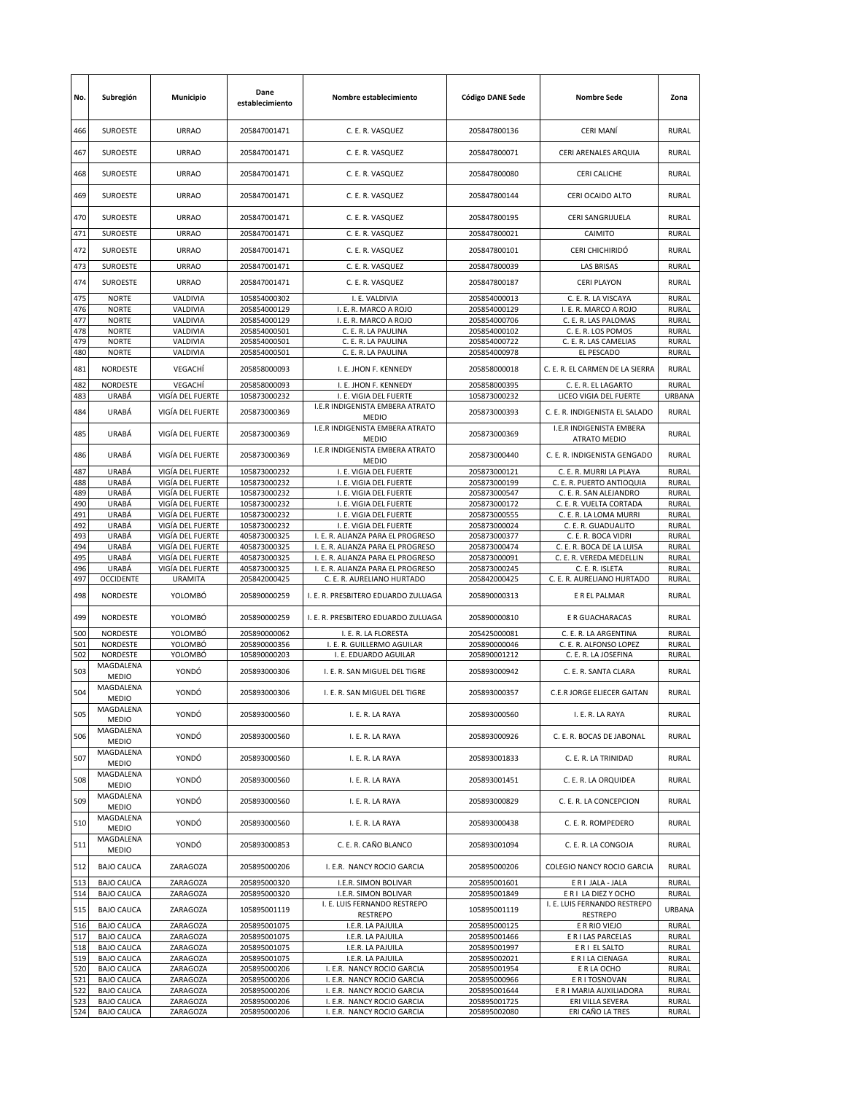| No.        | Subregión                              | Municipio                            | Dane<br>establecimiento      | Nombre establecimiento                                          | <b>Código DANE Sede</b>      | <b>Nombre Sede</b>                                     | Zona                         |
|------------|----------------------------------------|--------------------------------------|------------------------------|-----------------------------------------------------------------|------------------------------|--------------------------------------------------------|------------------------------|
| 466        | <b>SUROESTE</b>                        | <b>URRAO</b>                         | 205847001471                 | C. E. R. VASQUEZ                                                | 205847800136                 | CERI MANÍ                                              | <b>RURAL</b>                 |
| 467        | SUROESTE                               | <b>URRAO</b>                         | 205847001471                 | C. E. R. VASQUEZ                                                | 205847800071                 | CERI ARENALES ARQUIA                                   | <b>RURAL</b>                 |
| 468        | <b>SUROESTE</b>                        | <b>URRAO</b>                         | 205847001471                 | C. E. R. VASQUEZ                                                | 205847800080                 | CERI CALICHE                                           | <b>RURAL</b>                 |
| 469        | <b>SUROESTE</b>                        | <b>URRAO</b>                         | 205847001471                 | C. E. R. VASQUEZ                                                | 205847800144                 | CERI OCAIDO ALTO                                       | <b>RURAL</b>                 |
| 470        | <b>SUROESTE</b>                        | <b>URRAO</b>                         | 205847001471                 | C. E. R. VASQUEZ                                                | 205847800195                 | CERI SANGRIJUELA                                       | <b>RURAL</b>                 |
| 471        | <b>SUROESTE</b>                        | <b>URRAO</b>                         | 205847001471                 | C. E. R. VASQUEZ                                                | 205847800021                 | CAIMITO                                                | RURAL                        |
| 472        | SUROESTE                               | <b>URRAO</b>                         | 205847001471                 | C. E. R. VASQUEZ                                                | 205847800101                 | CERI CHICHIRIDÓ                                        | <b>RURAL</b>                 |
| 473        | <b>SUROESTE</b>                        | <b>URRAO</b>                         | 205847001471                 | C. E. R. VASQUEZ                                                | 205847800039                 | <b>LAS BRISAS</b>                                      | <b>RURAL</b>                 |
| 474        | <b>SUROESTE</b>                        | <b>URRAO</b>                         | 205847001471                 | C. E. R. VASQUEZ                                                | 205847800187                 | <b>CERI PLAYON</b>                                     | <b>RURAL</b>                 |
| 475        | <b>NORTE</b>                           | VALDIVIA                             | 105854000302                 | I. E. VALDIVIA                                                  | 205854000013                 | C. E. R. LA VISCAYA                                    | <b>RURAL</b>                 |
| 476<br>477 | <b>NORTE</b><br><b>NORTE</b>           | VALDIVIA<br>VALDIVIA                 | 205854000129<br>205854000129 | I. E. R. MARCO A ROJO<br>I. E. R. MARCO A ROJO                  | 205854000129<br>205854000706 | I. E. R. MARCO A ROJO<br>C. E. R. LAS PALOMAS          | <b>RURAL</b><br><b>RURAL</b> |
| 478        | <b>NORTE</b>                           | VALDIVIA                             | 205854000501                 | C. E. R. LA PAULINA                                             | 205854000102                 | C. E. R. LOS POMOS                                     | <b>RURAL</b>                 |
| 479        | <b>NORTE</b>                           | VALDIVIA                             | 205854000501                 | C. E. R. LA PAULINA                                             | 205854000722                 | C. E. R. LAS CAMELIAS                                  | <b>RURAL</b>                 |
| 480        | <b>NORTE</b>                           | VALDIVIA                             | 205854000501                 | C. E. R. LA PAULINA                                             | 205854000978                 | EL PESCADO                                             | RURAL                        |
| 481<br>482 | <b>NORDESTE</b><br><b>NORDESTE</b>     | VEGACHÍ<br>VEGACHÍ                   | 205858000093<br>205858000093 | I. E. JHON F. KENNEDY<br>I. E. JHON F. KENNEDY                  | 205858000018<br>205858000395 | C. E. R. EL CARMEN DE LA SIERRA<br>C. E. R. EL LAGARTO | <b>RURAL</b><br><b>RURAL</b> |
| 483        | <b>URABÁ</b>                           | VIGÍA DEL FUERTE                     | 105873000232                 | I. E. VIGIA DEL FUERTE                                          | 105873000232                 | LICEO VIGIA DEL FUERTE                                 | URBANA                       |
| 484        | <b>URABÁ</b>                           | VIGÍA DEL FUERTE                     | 205873000369                 | I.E.R INDIGENISTA EMBERA ATRATO<br><b>MEDIO</b>                 | 205873000393                 | C. E. R. INDIGENISTA EL SALADO                         | <b>RURAL</b>                 |
| 485        | URABÁ                                  | VIGÍA DEL FUERTE                     | 205873000369                 | I.E.R INDIGENISTA EMBERA ATRATO<br><b>MEDIO</b>                 | 205873000369                 | I.E.R INDIGENISTA EMBERA<br>ATRATO MEDIO               | RURAL                        |
| 486        | URABÁ                                  | VIGÍA DEL FUERTE                     | 205873000369                 | I.E.R INDIGENISTA EMBERA ATRATO<br><b>MEDIO</b>                 | 205873000440                 | C. E. R. INDIGENISTA GENGADO                           | <b>RURAL</b>                 |
| 487        | URABÁ                                  | VIGÍA DEL FUERTE                     | 105873000232                 | I. E. VIGIA DEL FUERTE                                          | 205873000121                 | C. E. R. MURRI LA PLAYA                                | <b>RURAL</b>                 |
| 488        | URABÁ                                  | VIGÍA DEL FUERTE                     | 105873000232                 | I. E. VIGIA DEL FUERTE                                          | 205873000199                 | C. E. R. PUERTO ANTIOQUIA                              | RURAL                        |
| 489<br>490 | URABÁ<br>URABÁ                         | VIGÍA DEL FUERTE<br>VIGÍA DEL FUERTE | 105873000232<br>105873000232 | I. E. VIGIA DEL FUERTE<br>I. E. VIGIA DEL FUERTE                | 205873000547<br>205873000172 | C. E. R. SAN ALEJANDRO<br>C. E. R. VUELTA CORTADA      | RURAL<br><b>RURAL</b>        |
| 491        | URABÁ                                  | VIGÍA DEL FUERTE                     | 105873000232                 | I. E. VIGIA DEL FUERTE                                          | 205873000555                 | C. E. R. LA LOMA MURRI                                 | <b>RURAL</b>                 |
| 492        | URABÁ                                  | VIGÍA DEL FUERTE                     | 105873000232                 | I. E. VIGIA DEL FUERTE                                          | 205873000024                 | C. E. R. GUADUALITO                                    | <b>RURAL</b>                 |
| 493        | URABÁ                                  | VIGÍA DEL FUERTE                     | 405873000325                 | I. E. R. ALIANZA PARA EL PROGRESO                               | 205873000377                 | C. E. R. BOCA VIDRI                                    | RURAL                        |
| 494        | URABÁ                                  | VIGÍA DEL FUERTE                     | 405873000325                 | I. E. R. ALIANZA PARA EL PROGRESO                               | 205873000474                 | C. E. R. BOCA DE LA LUISA                              | <b>RURAL</b>                 |
| 495        | URABÁ                                  | VIGÍA DEL FUERTE                     | 405873000325                 | I. E. R. ALIANZA PARA EL PROGRESO                               | 205873000091                 | C. E. R. VEREDA MEDELLIN                               | <b>RURAL</b>                 |
| 496<br>497 | URABÁ<br><b>OCCIDENTE</b>              | VIGÍA DEL FUERTE<br><b>URAMITA</b>   | 405873000325<br>205842000425 | I. E. R. ALIANZA PARA EL PROGRESO<br>C. E. R. AURELIANO HURTADO | 205873000245<br>205842000425 | C. E. R. ISLETA<br>C. E. R. AURELIANO HURTADO          | <b>RURAL</b><br><b>RURAL</b> |
| 498        | NORDESTE                               | YOLOMBÓ                              | 205890000259                 | I. E. R. PRESBITERO EDUARDO ZULUAGA                             | 205890000313                 | E R EL PALMAR                                          | <b>RURAL</b>                 |
| 499        | <b>NORDESTE</b>                        | YOLOMBÓ                              | 205890000259                 | I. E. R. PRESBITERO EDUARDO ZULUAGA                             | 205890000810                 | E R GUACHARACAS                                        | <b>RURAL</b>                 |
| 500        | <b>NORDESTE</b>                        | YOLOMBÓ                              | 205890000062                 | I. E. R. LA FLORESTA                                            | 205425000081                 | C. E. R. LA ARGENTINA                                  | <b>RURAL</b>                 |
| 501        | NORDESTE                               | YOLOMBÓ                              | 205890000356                 | I. E. R. GUILLERMO AGUILAR                                      | 205890000046                 | C. E. R. ALFONSO LOPEZ                                 | <b>RURAL</b>                 |
| 502        | NORDESTE                               | YOLOMBÓ                              | 105890000203                 | I. E. EDUARDO AGUILAR                                           | 205890001212                 | C. E. R. LA JOSEFINA                                   | <b>RURAL</b>                 |
| 503        | MAGDALENA<br><b>MEDIO</b>              | YONDÓ                                | 205893000306                 | I. E. R. SAN MIGUEL DEL TIGRE                                   | 205893000942                 | C. E. R. SANTA CLARA                                   | <b>RURAL</b>                 |
| 504        | MAGDALENA<br>MEDIO                     | YONDÓ                                | 205893000306                 | I. E. R. SAN MIGUEL DEL TIGRE                                   | 205893000357                 | C.E.R JORGE ELIECER GAITAN                             | RURAL                        |
| 505        | MAGDALENA<br><b>MEDIO</b>              | YONDÓ                                | 205893000560                 | I. E. R. LA RAYA                                                | 205893000560                 | I. E. R. LA RAYA                                       | RURAL                        |
| 506        | MAGDALENA<br>MEDIO                     | YONDÓ                                | 205893000560                 | I. E. R. LA RAYA                                                | 205893000926                 | C. E. R. BOCAS DE JABONAL                              | <b>RURAL</b>                 |
| 507        | MAGDALENA<br><b>MEDIO</b>              | YONDÓ                                | 205893000560                 | I. E. R. LA RAYA                                                | 205893001833                 | C. E. R. LA TRINIDAD                                   | RURAL                        |
| 508        | MAGDALENA<br>MEDIO                     | YONDÓ                                | 205893000560                 | I. E. R. LA RAYA                                                | 205893001451                 | C. E. R. LA ORQUIDEA                                   | <b>RURAL</b>                 |
| 509        | MAGDALENA<br>MEDIO                     | YONDÓ                                | 205893000560                 | I. E. R. LA RAYA                                                | 205893000829                 | C. E. R. LA CONCEPCION                                 | <b>RURAL</b>                 |
| 510        | MAGDALENA<br>MEDIO                     | YONDÓ                                | 205893000560                 | I. E. R. LA RAYA                                                | 205893000438                 | C. E. R. ROMPEDERO                                     | <b>RURAL</b>                 |
| 511        | MAGDALENA<br>MEDIO                     | YONDÓ                                | 205893000853                 | C. E. R. CAÑO BLANCO                                            | 205893001094                 | C. E. R. LA CONGOJA                                    | <b>RURAL</b>                 |
| 512        | <b>BAJO CAUCA</b>                      | ZARAGOZA                             | 205895000206                 | I. E.R. NANCY ROCIO GARCIA                                      | 205895000206                 | COLEGIO NANCY ROCIO GARCIA                             | <b>RURAL</b>                 |
| 513        | <b>BAJO CAUCA</b>                      | ZARAGOZA                             | 205895000320                 | I.E.R. SIMON BOLIVAR                                            | 205895001601                 | E R I JALA - JALA                                      | <b>RURAL</b>                 |
| 514        | <b>BAJO CAUCA</b>                      | ZARAGOZA                             | 205895000320                 | I.E.R. SIMON BOLIVAR<br>I. E. LUIS FERNANDO RESTREPO            | 205895001849                 | E R I LA DIEZ Y OCHO<br>I. E. LUIS FERNANDO RESTREPO   | <b>RURAL</b>                 |
| 515        | <b>BAJO CAUCA</b>                      | ZARAGOZA                             | 105895001119                 | <b>RESTREPO</b>                                                 | 105895001119                 | <b>RESTREPO</b>                                        | URBANA                       |
| 516        | <b>BAJO CAUCA</b><br><b>BAJO CAUCA</b> | ZARAGOZA<br>ZARAGOZA                 | 205895001075<br>205895001075 | I.E.R. LA PAJUILA<br>I.E.R. LA PAJUILA                          | 205895000125<br>205895001466 | E R RIO VIEJO<br>E R I LAS PARCELAS                    | <b>RURAL</b><br><b>RURAL</b> |
| 517<br>518 | <b>BAJO CAUCA</b>                      | ZARAGOZA                             | 205895001075                 | I.E.R. LA PAJUILA                                               | 205895001997                 | E R I EL SALTO                                         | <b>RURAL</b>                 |
| 519        | <b>BAJO CAUCA</b>                      | ZARAGOZA                             | 205895001075                 | I.E.R. LA PAJUILA                                               | 205895002021                 | E R I LA CIENAGA                                       | <b>RURAL</b>                 |
| 520        | <b>BAJO CAUCA</b>                      | ZARAGOZA                             | 205895000206                 | I. E.R. NANCY ROCIO GARCIA                                      | 205895001954                 | E R LA OCHO                                            | <b>RURAL</b>                 |
| 521        | <b>BAJO CAUCA</b>                      | ZARAGOZA                             | 205895000206                 | I. E.R. NANCY ROCIO GARCIA                                      | 205895000966                 | E R I TOSNOVAN                                         | <b>RURAL</b>                 |
| 522        | <b>BAJO CAUCA</b>                      | ZARAGOZA                             | 205895000206                 | I. E.R. NANCY ROCIO GARCIA                                      | 205895001644                 | E R I MARIA AUXILIADORA                                | <b>RURAL</b>                 |
| 523        | <b>BAJO CAUCA</b>                      | ZARAGOZA                             | 205895000206                 | I. E.R. NANCY ROCIO GARCIA                                      | 205895001725                 | ERI VILLA SEVERA                                       | <b>RURAL</b>                 |
| 524        | <b>BAJO CAUCA</b>                      | ZARAGOZA                             | 205895000206                 | I. E.R. NANCY ROCIO GARCIA                                      | 205895002080                 | ERI CAÑO LA TRES                                       | <b>RURAL</b>                 |